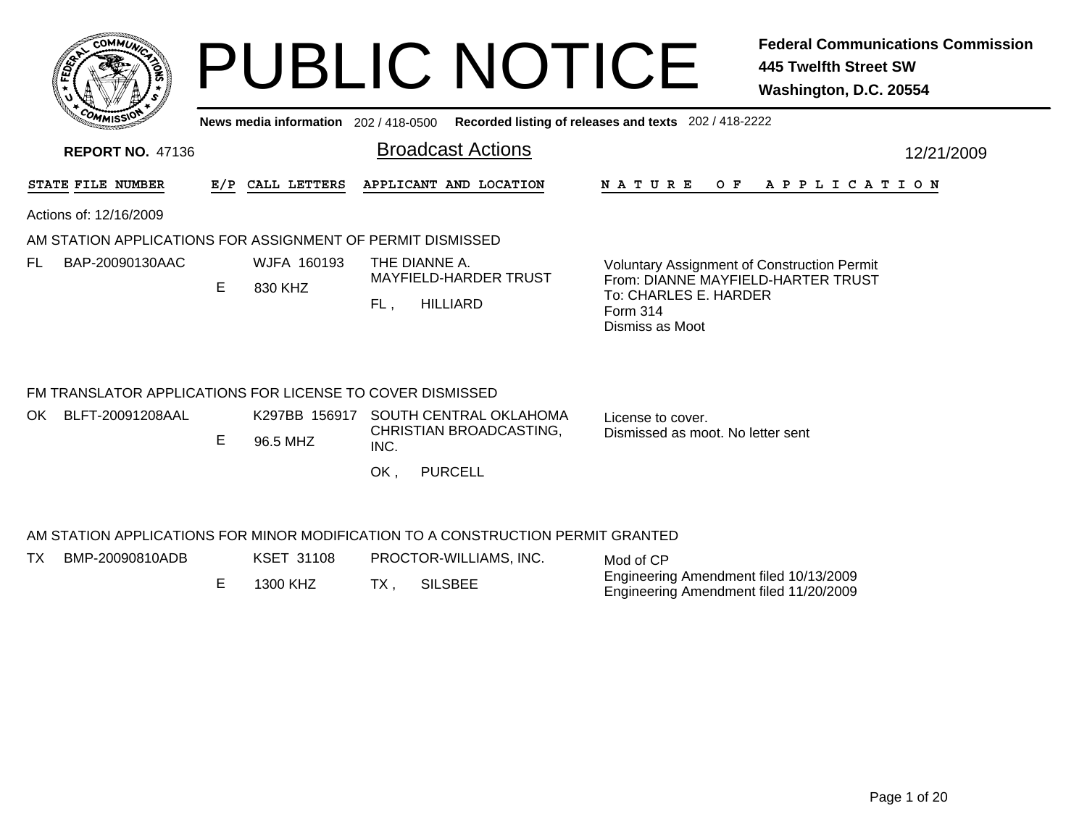|     | <b>MMUNT</b><br>co. |           |
|-----|---------------------|-----------|
| ន្ន |                     | ্ব<br>ಕ್ಷ |
|     |                     |           |
| COM | MISS'<br>---        |           |

TX

## PUBLIC NOTICE **Federal Communications Commission 445 Twelfth Street SW Washington, D.C. 20554**

**News media information** 202 / 418-0500**Recorded listing of releases and texts** 202 / 418-2222

| <b>REPORT NO. 47136</b>                                    |     |                        | <b>Broadcast Actions</b>                                                        | 12/21/2009                                                                               |  |
|------------------------------------------------------------|-----|------------------------|---------------------------------------------------------------------------------|------------------------------------------------------------------------------------------|--|
| STATE FILE NUMBER                                          | E/P | CALL LETTERS           | APPLICANT AND LOCATION                                                          | <b>NATURE</b><br>O F<br>A P P L I C A T I O N                                            |  |
| Actions of: 12/16/2009                                     |     |                        |                                                                                 |                                                                                          |  |
| AM STATION APPLICATIONS FOR ASSIGNMENT OF PERMIT DISMISSED |     |                        |                                                                                 |                                                                                          |  |
| BAP-20090130AAC<br>FL                                      | E.  | WJFA 160193<br>830 KHZ | THE DIANNE A.<br><b>MAYFIELD-HARDER TRUST</b>                                   | <b>Voluntary Assignment of Construction Permit</b><br>From: DIANNE MAYFIELD-HARTER TRUST |  |
|                                                            |     |                        | <b>HILLIARD</b><br>FL.                                                          | To: CHARLES E. HARDER<br>Form 314<br>Dismiss as Moot                                     |  |
| FM TRANSLATOR APPLICATIONS FOR LICENSE TO COVER DISMISSED  |     |                        |                                                                                 |                                                                                          |  |
| BLFT-20091208AAL<br>OK.                                    |     | K297BB 156917          | SOUTH CENTRAL OKLAHOMA                                                          | License to cover.                                                                        |  |
|                                                            | E   | 96.5 MHZ               | CHRISTIAN BROADCASTING,<br>INC.                                                 | Dismissed as moot. No letter sent                                                        |  |
|                                                            |     |                        | <b>PURCELL</b><br>OK,                                                           |                                                                                          |  |
|                                                            |     |                        | AM STATION APPLICATIONS FOR MINOR MODIFICATION TO A CONSTRUCTION PERMIT GRANTED |                                                                                          |  |

| Λ. | BMP-20090810ADB | KSET 31108 |  | PROCTOR-WILLIAMS, INC. | Mod of CP                                                                        |
|----|-----------------|------------|--|------------------------|----------------------------------------------------------------------------------|
|    |                 | 1300 KHZ   |  | <b>SILSBEE</b>         | Engineering Amendment filed 10/13/2009<br>Engineering Amendment filed 11/20/2009 |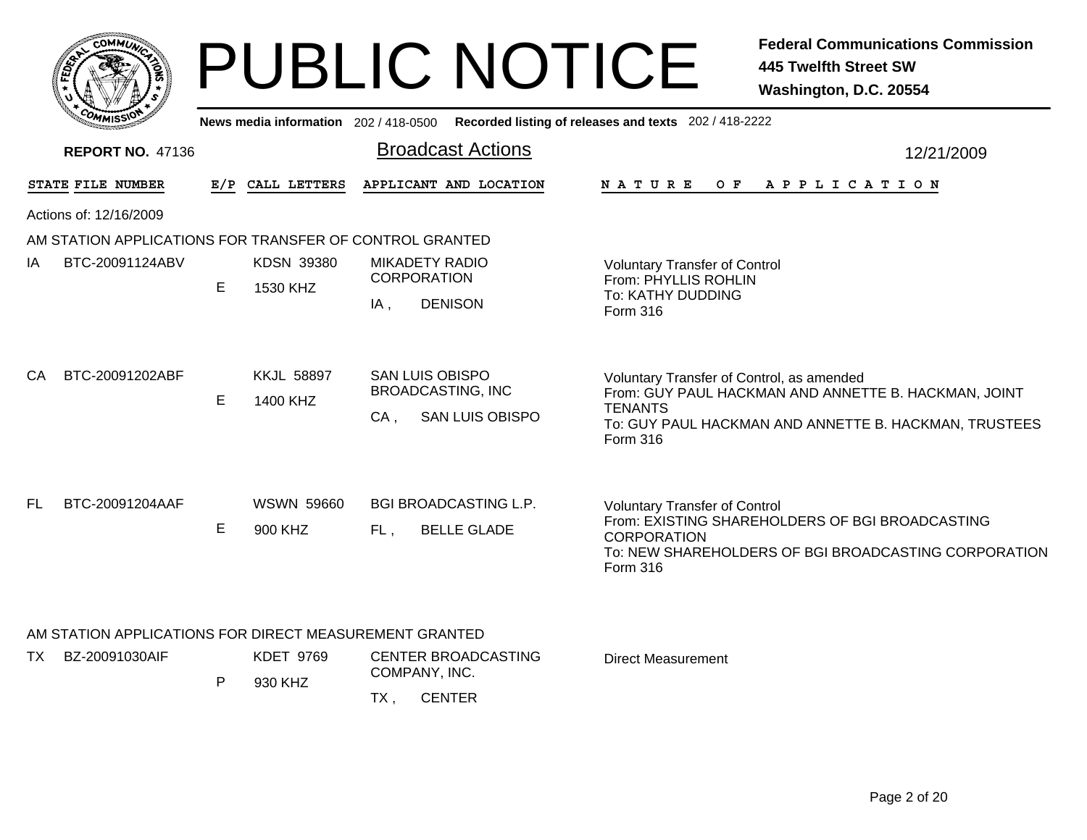|                                                                                 |   |                                       | <b>PUBLIC NOTICE</b>                                                                | <b>Federal Communications Commission</b><br><b>445 Twelfth Street SW</b><br>Washington, D.C. 20554                                                                                       |
|---------------------------------------------------------------------------------|---|---------------------------------------|-------------------------------------------------------------------------------------|------------------------------------------------------------------------------------------------------------------------------------------------------------------------------------------|
|                                                                                 |   | News media information 202 / 418-0500 |                                                                                     | Recorded listing of releases and texts 202 / 418-2222                                                                                                                                    |
| <b>REPORT NO. 47136</b>                                                         |   |                                       | <b>Broadcast Actions</b>                                                            | 12/21/2009                                                                                                                                                                               |
| CALL LETTERS<br>STATE FILE NUMBER<br>E/P                                        |   | APPLICANT AND LOCATION                | APPLICATION<br>N A T U R E<br>O F                                                   |                                                                                                                                                                                          |
| Actions of: 12/16/2009                                                          |   |                                       |                                                                                     |                                                                                                                                                                                          |
| AM STATION APPLICATIONS FOR TRANSFER OF CONTROL GRANTED                         |   |                                       |                                                                                     |                                                                                                                                                                                          |
| BTC-20091124ABV<br>ΙA                                                           | Е | <b>KDSN 39380</b><br>1530 KHZ         | <b>MIKADETY RADIO</b><br><b>CORPORATION</b><br><b>DENISON</b><br>$IA$ ,             | <b>Voluntary Transfer of Control</b><br>From: PHYLLIS ROHLIN<br>To: KATHY DUDDING<br>Form 316                                                                                            |
| BTC-20091202ABF<br>CA.                                                          | Е | <b>KKJL 58897</b><br>1400 KHZ         | <b>SAN LUIS OBISPO</b><br><b>BROADCASTING, INC</b><br><b>SAN LUIS OBISPO</b><br>CA, | Voluntary Transfer of Control, as amended<br>From: GUY PAUL HACKMAN AND ANNETTE B. HACKMAN, JOINT<br><b>TENANTS</b><br>To: GUY PAUL HACKMAN AND ANNETTE B. HACKMAN, TRUSTEES<br>Form 316 |
| BTC-20091204AAF<br>FL.                                                          | Е | <b>WSWN 59660</b><br>900 KHZ          | <b>BGI BROADCASTING L.P.</b><br><b>BELLE GLADE</b><br>FL,                           | <b>Voluntary Transfer of Control</b><br>From: EXISTING SHAREHOLDERS OF BGI BROADCASTING<br><b>CORPORATION</b><br>To: NEW SHAREHOLDERS OF BGI BROADCASTING CORPORATION<br>Form 316        |
| AM STATION APPLICATIONS FOR DIRECT MEASUREMENT GRANTED<br>BZ-20091030AIF<br>TX. | P | <b>KDET 9769</b><br>930 KHZ           | <b>CENTER BROADCASTING</b><br>COMPANY, INC.<br><b>CENTER</b><br>$TX$ ,              | Direct Measurement                                                                                                                                                                       |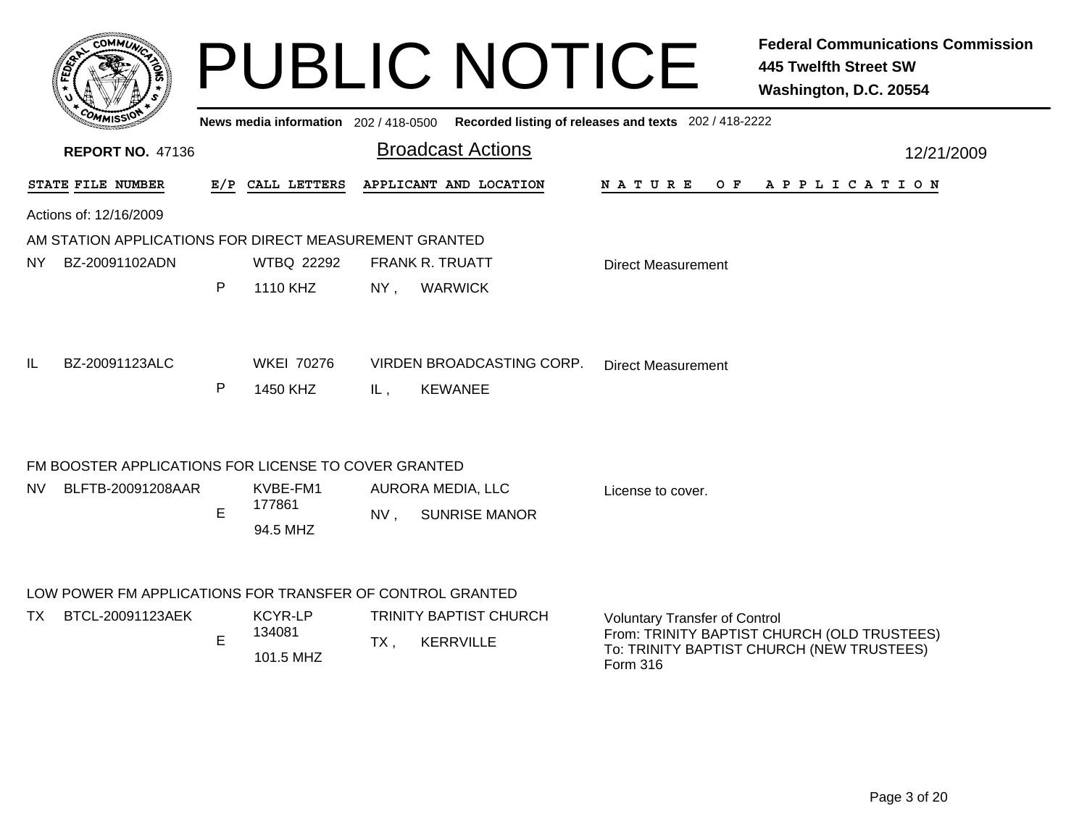|     |                                                           |              | News media information 202 / 418-0500 |                                                             | <b>PUBLIC NOTICE</b>      | Recorded listing of releases and texts 202 / 418-2222 | <b>Federal Communications Commission</b><br><b>445 Twelfth Street SW</b><br>Washington, D.C. 20554 |
|-----|-----------------------------------------------------------|--------------|---------------------------------------|-------------------------------------------------------------|---------------------------|-------------------------------------------------------|----------------------------------------------------------------------------------------------------|
|     | <b>REPORT NO. 47136</b>                                   |              |                                       | <b>Broadcast Actions</b>                                    |                           |                                                       | 12/21/2009                                                                                         |
|     | STATE FILE NUMBER                                         |              | E/P CALL LETTERS                      | APPLICANT AND LOCATION                                      |                           | <b>NATURE</b><br>O F                                  | A P P L I C A T I O N                                                                              |
|     | Actions of: 12/16/2009                                    |              |                                       |                                                             |                           |                                                       |                                                                                                    |
|     | AM STATION APPLICATIONS FOR DIRECT MEASUREMENT GRANTED    |              |                                       |                                                             |                           |                                                       |                                                                                                    |
| NY. | BZ-20091102ADN                                            |              | <b>WTBQ 22292</b>                     | <b>FRANK R. TRUATT</b>                                      |                           | <b>Direct Measurement</b>                             |                                                                                                    |
|     |                                                           | $\mathsf{P}$ | 1110 KHZ                              | $NY$ ,<br><b>WARWICK</b>                                    |                           |                                                       |                                                                                                    |
| IL  | BZ-20091123ALC                                            |              | <b>WKEI 70276</b>                     |                                                             | VIRDEN BROADCASTING CORP. | <b>Direct Measurement</b>                             |                                                                                                    |
|     |                                                           | $\mathsf{P}$ | 1450 KHZ                              | IL,<br><b>KEWANEE</b>                                       |                           |                                                       |                                                                                                    |
|     | FM BOOSTER APPLICATIONS FOR LICENSE TO COVER GRANTED      |              |                                       |                                                             |                           |                                                       |                                                                                                    |
| NV. | BLFTB-20091208AAR                                         | E            | KVBE-FM1<br>177861<br>94.5 MHZ        | AURORA MEDIA, LLC<br>NV.                                    | <b>SUNRISE MANOR</b>      | License to cover.                                     |                                                                                                    |
|     | LOW POWER FM APPLICATIONS FOR TRANSFER OF CONTROL GRANTED |              |                                       |                                                             |                           |                                                       |                                                                                                    |
| TX. | BTCL-20091123AEK                                          | E            | <b>KCYR-LP</b><br>134081<br>101.5 MHZ | <b>TRINITY BAPTIST CHURCH</b><br><b>KERRVILLE</b><br>$TX$ . |                           | <b>Voluntary Transfer of Control</b><br>Form 316      | From: TRINITY BAPTIST CHURCH (OLD TRUSTEES)<br>To: TRINITY BAPTIST CHURCH (NEW TRUSTEES)           |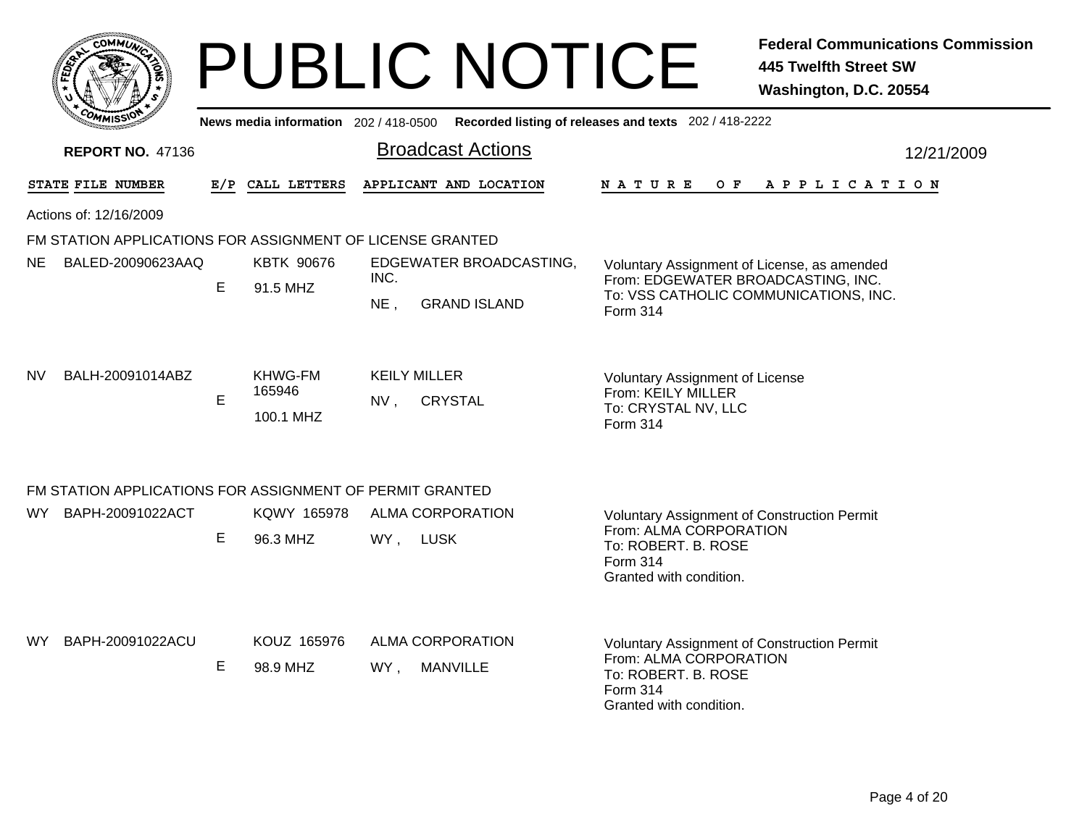| <b>COMMIT</b>                                             |   |                                       | PUBLIC NOTICE                                |                                                                                                                                     | <b>Federal Communications Commission</b><br><b>445 Twelfth Street SW</b><br>Washington, D.C. 20554 |  |  |
|-----------------------------------------------------------|---|---------------------------------------|----------------------------------------------|-------------------------------------------------------------------------------------------------------------------------------------|----------------------------------------------------------------------------------------------------|--|--|
|                                                           |   | News media information 202 / 418-0500 |                                              | Recorded listing of releases and texts 202 / 418-2222                                                                               |                                                                                                    |  |  |
| <b>REPORT NO. 47136</b>                                   |   |                                       | <b>Broadcast Actions</b>                     |                                                                                                                                     | 12/21/2009                                                                                         |  |  |
| STATE FILE NUMBER                                         |   | E/P CALL LETTERS                      | APPLICANT AND LOCATION                       | N A T U R E                                                                                                                         | OF APPLICATION                                                                                     |  |  |
| Actions of: 12/16/2009                                    |   |                                       |                                              |                                                                                                                                     |                                                                                                    |  |  |
| FM STATION APPLICATIONS FOR ASSIGNMENT OF LICENSE GRANTED |   |                                       |                                              |                                                                                                                                     |                                                                                                    |  |  |
| NE.<br>BALED-20090623AAQ                                  | E | <b>KBTK 90676</b><br>91.5 MHZ         | EDGEWATER BROADCASTING,<br>INC.              | Voluntary Assignment of License, as amended<br>From: EDGEWATER BROADCASTING, INC.                                                   |                                                                                                    |  |  |
|                                                           |   |                                       | $NE$ ,<br><b>GRAND ISLAND</b>                | To: VSS CATHOLIC COMMUNICATIONS, INC.<br>Form 314                                                                                   |                                                                                                    |  |  |
| BALH-20091014ABZ<br>NV.                                   | E | KHWG-FM<br>165946<br>100.1 MHZ        | <b>KEILY MILLER</b><br><b>CRYSTAL</b><br>NV, | <b>Voluntary Assignment of License</b><br>From: KEILY MILLER<br>To: CRYSTAL NV, LLC<br>Form 314                                     |                                                                                                    |  |  |
| FM STATION APPLICATIONS FOR ASSIGNMENT OF PERMIT GRANTED  |   |                                       |                                              |                                                                                                                                     |                                                                                                    |  |  |
| WY BAPH-20091022ACT                                       |   | KQWY 165978                           | ALMA CORPORATION                             | <b>Voluntary Assignment of Construction Permit</b>                                                                                  |                                                                                                    |  |  |
|                                                           | E | 96.3 MHZ                              | WY, LUSK                                     | From: ALMA CORPORATION<br>To: ROBERT. B. ROSE<br>Form 314<br>Granted with condition.                                                |                                                                                                    |  |  |
| BAPH-20091022ACU<br>WY.                                   | Е | KOUZ 165976<br>98.9 MHZ               | ALMA CORPORATION<br><b>MANVILLE</b><br>WY,   | Voluntary Assignment of Construction Permit<br>From: ALMA CORPORATION<br>To: ROBERT. B. ROSE<br>Form 314<br>Granted with condition. |                                                                                                    |  |  |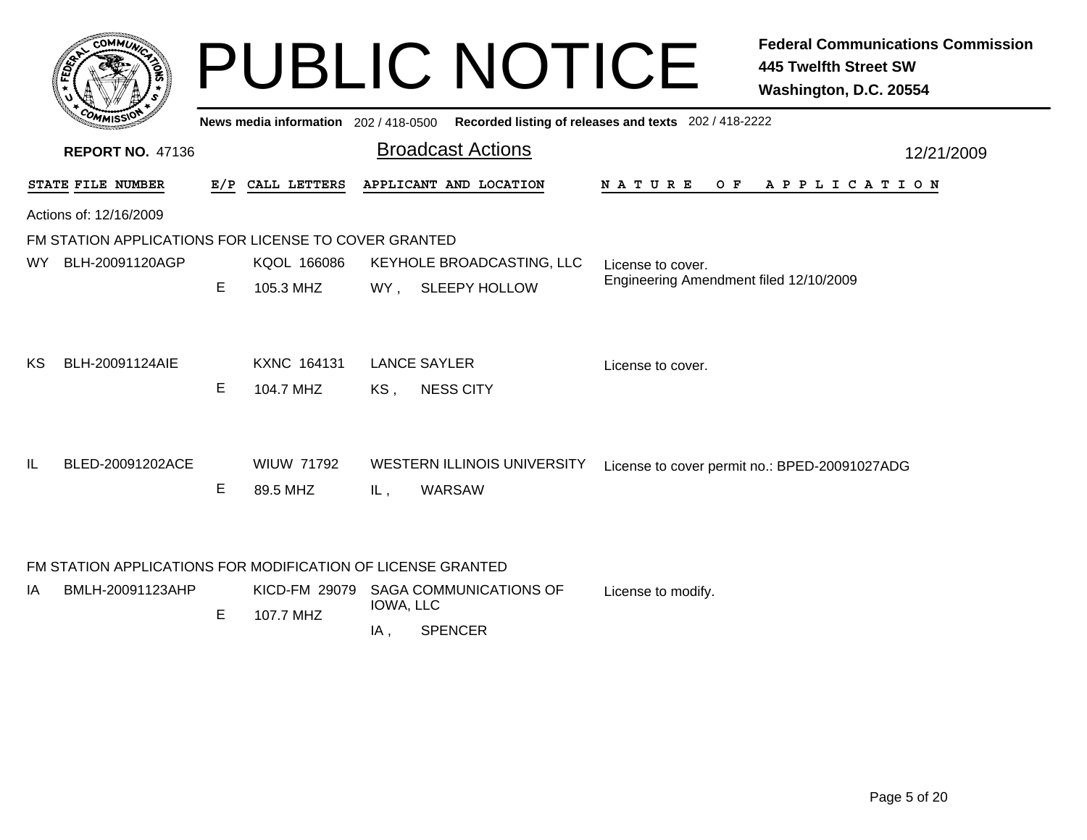|      |                                                             |    |                                       | <b>PUBLIC NOTICE</b>                                       |                                                       | <b>Federal Communications Commission</b><br>445 Twelfth Street SW<br>Washington, D.C. 20554 |
|------|-------------------------------------------------------------|----|---------------------------------------|------------------------------------------------------------|-------------------------------------------------------|---------------------------------------------------------------------------------------------|
|      |                                                             |    | News media information 202 / 418-0500 | <b>Broadcast Actions</b>                                   | Recorded listing of releases and texts 202 / 418-2222 |                                                                                             |
|      | <b>REPORT NO. 47136</b>                                     |    |                                       |                                                            |                                                       | 12/21/2009                                                                                  |
|      | STATE FILE NUMBER                                           |    | E/P CALL LETTERS                      | APPLICANT AND LOCATION                                     | N A T U R E<br>O F                                    | A P P L I C A T I O N                                                                       |
|      | Actions of: 12/16/2009                                      |    |                                       |                                                            |                                                       |                                                                                             |
|      | FM STATION APPLICATIONS FOR LICENSE TO COVER GRANTED        |    |                                       |                                                            |                                                       |                                                                                             |
| WY l | BLH-20091120AGP                                             |    | KQOL 166086                           | KEYHOLE BROADCASTING, LLC                                  | License to cover.                                     |                                                                                             |
|      |                                                             | E. | 105.3 MHZ                             | <b>SLEEPY HOLLOW</b><br>WY.                                | Engineering Amendment filed 12/10/2009                |                                                                                             |
| ΚS   | BLH-20091124AIE                                             | Е  | <b>KXNC 164131</b><br>104.7 MHZ       | <b>LANCE SAYLER</b><br><b>NESS CITY</b><br>KS,             | License to cover.                                     |                                                                                             |
| IL   | BLED-20091202ACE                                            | Е  | <b>WILIW 71792</b><br>89.5 MHZ        | <b>WESTERN ILLINOIS UNIVERSITY</b><br><b>WARSAW</b><br>IL, |                                                       | License to cover permit no.: BPED-20091027ADG                                               |
|      | FM STATION APPLICATIONS FOR MODIFICATION OF LICENSE GRANTED |    |                                       |                                                            |                                                       |                                                                                             |
| ΙA   | BMLH-20091123AHP                                            |    |                                       | KICD-FM 29079 SAGA COMMUNICATIONS OF<br>IOWA, LLC          | License to modify.                                    |                                                                                             |
|      |                                                             | Е  | 107.7 MHZ                             |                                                            |                                                       |                                                                                             |

**SPENCER** IA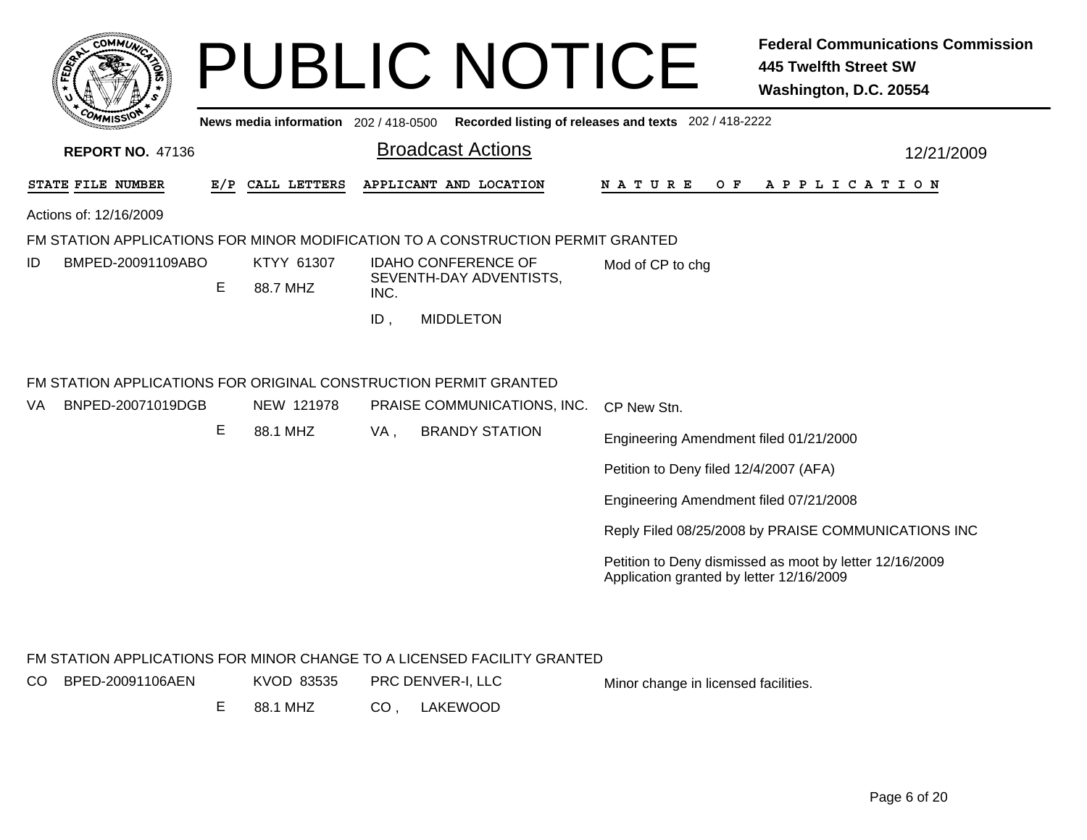| COMMI                    |   |                                       | <b>PUBLIC NOTICE</b>                                                            | <b>Federal Communications Commission</b><br><b>445 Twelfth Street SW</b><br>Washington, D.C. 20554  |
|--------------------------|---|---------------------------------------|---------------------------------------------------------------------------------|-----------------------------------------------------------------------------------------------------|
|                          |   | News media information $202/418-0500$ |                                                                                 | Recorded listing of releases and texts 202 / 418-2222                                               |
| <b>REPORT NO. 47136</b>  |   |                                       | <b>Broadcast Actions</b>                                                        | 12/21/2009                                                                                          |
| STATE FILE NUMBER        |   | E/P CALL LETTERS                      | APPLICANT AND LOCATION                                                          | N A T U R E<br>O F<br>A P P L I C A T I O N                                                         |
| Actions of: 12/16/2009   |   |                                       |                                                                                 |                                                                                                     |
|                          |   |                                       | FM STATION APPLICATIONS FOR MINOR MODIFICATION TO A CONSTRUCTION PERMIT GRANTED |                                                                                                     |
| BMPED-20091109ABO<br>ID  | Е | KTYY 61307<br>88.7 MHZ                | <b>IDAHO CONFERENCE OF</b><br>SEVENTH-DAY ADVENTISTS,<br>INC.                   | Mod of CP to chg                                                                                    |
|                          |   |                                       | ID.<br><b>MIDDLETON</b>                                                         |                                                                                                     |
|                          |   |                                       | FM STATION APPLICATIONS FOR ORIGINAL CONSTRUCTION PERMIT GRANTED                |                                                                                                     |
| BNPED-20071019DGB<br>VA. |   | NEW 121978                            | PRAISE COMMUNICATIONS, INC.                                                     | CP New Stn.                                                                                         |
|                          | Е | 88.1 MHZ                              | VA,<br><b>BRANDY STATION</b>                                                    | Engineering Amendment filed 01/21/2000                                                              |
|                          |   |                                       |                                                                                 | Petition to Deny filed 12/4/2007 (AFA)                                                              |
|                          |   |                                       |                                                                                 | Engineering Amendment filed 07/21/2008                                                              |
|                          |   |                                       |                                                                                 | Reply Filed 08/25/2008 by PRAISE COMMUNICATIONS INC                                                 |
|                          |   |                                       |                                                                                 | Petition to Deny dismissed as moot by letter 12/16/2009<br>Application granted by letter 12/16/2009 |
|                          |   |                                       | FM STATION APPLICATIONS FOR MINOR CHANGE TO A LICENSED FACILITY GRANTED         |                                                                                                     |
| BPED-20091106AEN<br>CO.  |   | KVOD 83535                            | PRC DENVER-I, LLC                                                               | Minor change in licensed facilities.                                                                |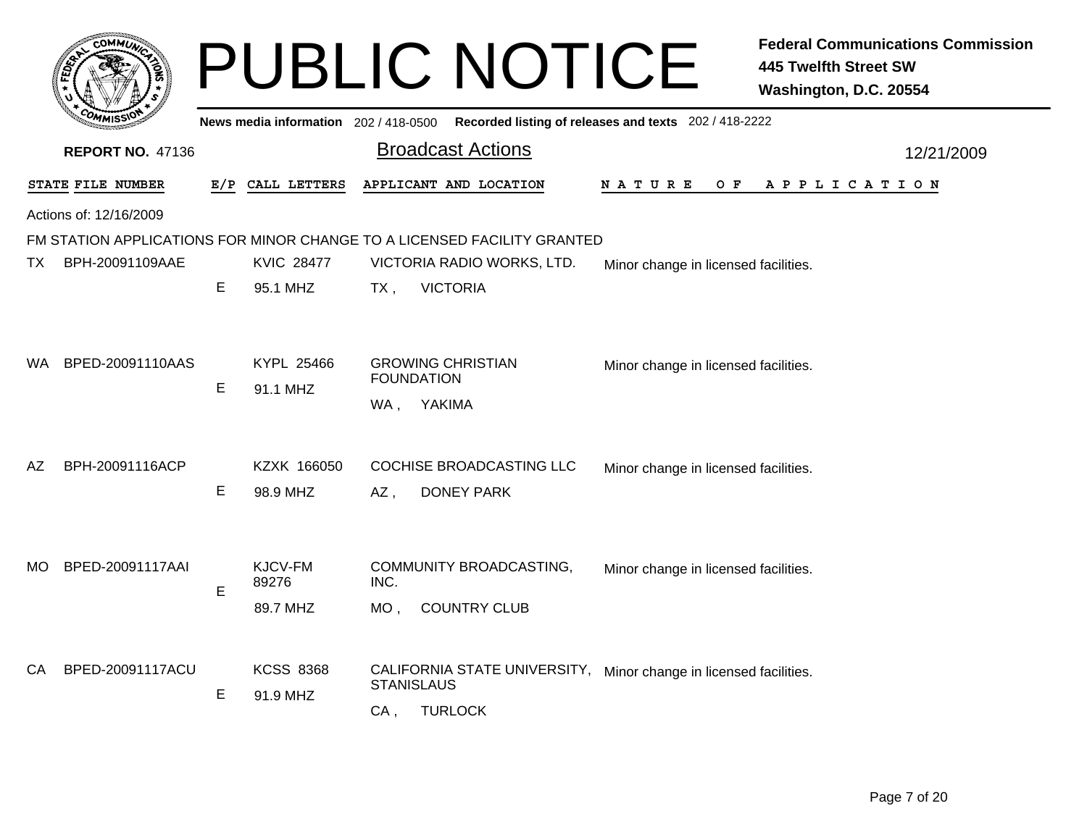|     | <b>OMMU</b>             |   |                                       |        | <b>PUBLIC NOTICE</b>                                                                   |                                                       | <b>Federal Communications Commission</b><br><b>445 Twelfth Street SW</b><br>Washington, D.C. 20554 |
|-----|-------------------------|---|---------------------------------------|--------|----------------------------------------------------------------------------------------|-------------------------------------------------------|----------------------------------------------------------------------------------------------------|
|     |                         |   | News media information 202 / 418-0500 |        |                                                                                        | Recorded listing of releases and texts 202 / 418-2222 |                                                                                                    |
|     | <b>REPORT NO. 47136</b> |   |                                       |        | <b>Broadcast Actions</b>                                                               |                                                       | 12/21/2009                                                                                         |
|     | STATE FILE NUMBER       |   | E/P CALL LETTERS                      |        | APPLICANT AND LOCATION                                                                 | N A T U R E<br>O F                                    | A P P L I C A T I O N                                                                              |
|     | Actions of: 12/16/2009  |   |                                       |        |                                                                                        |                                                       |                                                                                                    |
|     |                         |   |                                       |        | FM STATION APPLICATIONS FOR MINOR CHANGE TO A LICENSED FACILITY GRANTED                |                                                       |                                                                                                    |
| TX. | BPH-20091109AAE         |   | <b>KVIC 28477</b>                     |        | VICTORIA RADIO WORKS, LTD.                                                             | Minor change in licensed facilities.                  |                                                                                                    |
|     |                         | Е | 95.1 MHZ                              | $TX$ , | <b>VICTORIA</b>                                                                        |                                                       |                                                                                                    |
| WA. | BPED-20091110AAS        |   | KYPL 25466                            |        | <b>GROWING CHRISTIAN</b>                                                               | Minor change in licensed facilities.                  |                                                                                                    |
|     |                         | Е | 91.1 MHZ                              |        | <b>FOUNDATION</b>                                                                      |                                                       |                                                                                                    |
|     |                         |   |                                       | WA,    | YAKIMA                                                                                 |                                                       |                                                                                                    |
| AZ  | BPH-20091116ACP         |   | KZXK 166050                           |        | <b>COCHISE BROADCASTING LLC</b>                                                        | Minor change in licensed facilities.                  |                                                                                                    |
|     |                         | Е | 98.9 MHZ                              | $AZ$ , | <b>DONEY PARK</b>                                                                      |                                                       |                                                                                                    |
| MO. | BPED-20091117AAI        |   | KJCV-FM                               |        | COMMUNITY BROADCASTING,                                                                | Minor change in licensed facilities.                  |                                                                                                    |
|     |                         | Е | 89276                                 | INC.   |                                                                                        |                                                       |                                                                                                    |
|     |                         |   | 89.7 MHZ                              | MO,    | <b>COUNTRY CLUB</b>                                                                    |                                                       |                                                                                                    |
| CA  | BPED-20091117ACU        |   | <b>KCSS 8368</b>                      |        | CALIFORNIA STATE UNIVERSITY, Minor change in licensed facilities.<br><b>STANISLAUS</b> |                                                       |                                                                                                    |
|     |                         | Е | 91.9 MHZ                              | $CA$ , | <b>TURLOCK</b>                                                                         |                                                       |                                                                                                    |
|     |                         |   |                                       |        |                                                                                        |                                                       |                                                                                                    |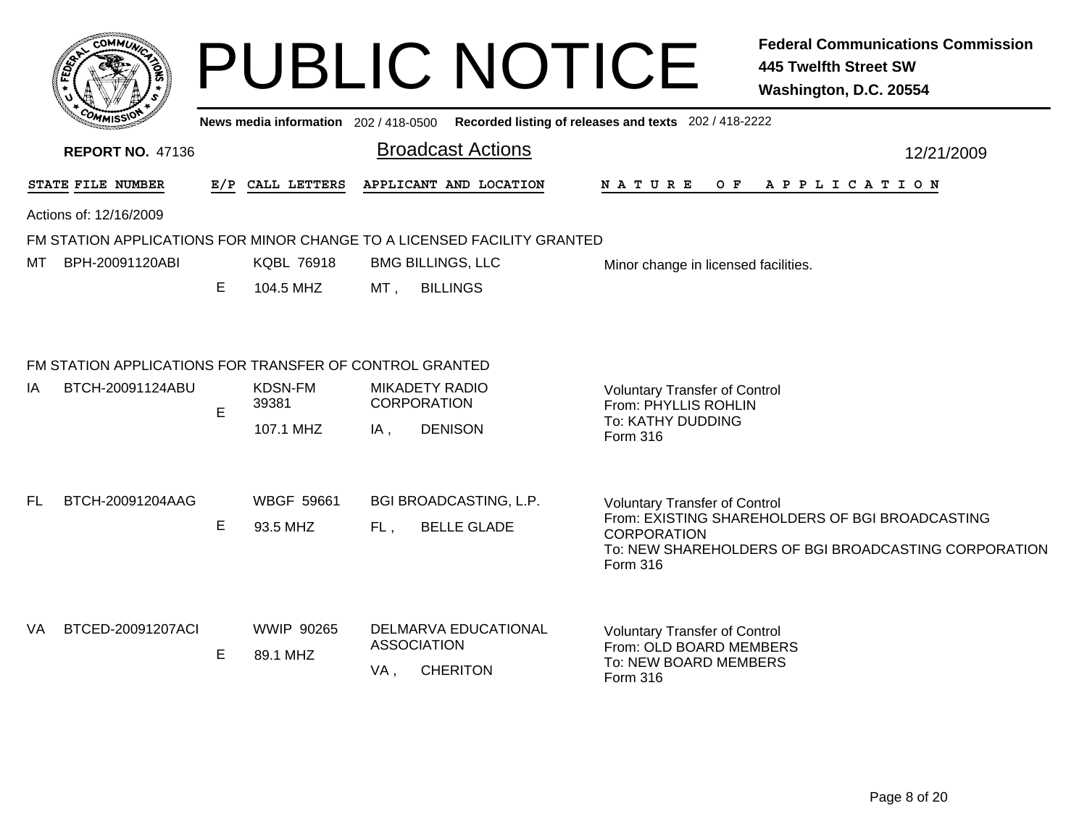|    |                                                                                                   |    |                                       |                                             |                                         | <b>PUBLIC NOTICE</b>                                                                                 | <b>Federal Communications Commission</b><br><b>445 Twelfth Street SW</b><br>Washington, D.C. 20554      |
|----|---------------------------------------------------------------------------------------------------|----|---------------------------------------|---------------------------------------------|-----------------------------------------|------------------------------------------------------------------------------------------------------|---------------------------------------------------------------------------------------------------------|
|    |                                                                                                   |    | News media information 202 / 418-0500 |                                             |                                         | Recorded listing of releases and texts 202 / 418-2222                                                |                                                                                                         |
|    | <b>REPORT NO. 47136</b>                                                                           |    |                                       |                                             | <b>Broadcast Actions</b>                |                                                                                                      | 12/21/2009                                                                                              |
|    | STATE FILE NUMBER                                                                                 |    | E/P CALL LETTERS                      |                                             | APPLICANT AND LOCATION                  | <b>NATURE</b><br>O F                                                                                 | A P P L I C A T I O N                                                                                   |
|    | Actions of: 12/16/2009<br>FM STATION APPLICATIONS FOR MINOR CHANGE TO A LICENSED FACILITY GRANTED |    |                                       |                                             |                                         |                                                                                                      |                                                                                                         |
| MТ | BPH-20091120ABI                                                                                   |    | <b>KQBL 76918</b>                     | <b>BMG BILLINGS, LLC</b>                    |                                         | Minor change in licensed facilities.                                                                 |                                                                                                         |
|    |                                                                                                   | E. | 104.5 MHZ                             | <b>BILLINGS</b><br>MT .                     |                                         |                                                                                                      |                                                                                                         |
|    | FM STATION APPLICATIONS FOR TRANSFER OF CONTROL GRANTED                                           |    |                                       |                                             |                                         |                                                                                                      |                                                                                                         |
| ΙA | BTCH-20091124ABU                                                                                  | E. | KDSN-FM<br>39381                      | <b>MIKADETY RADIO</b><br><b>CORPORATION</b> |                                         | <b>Voluntary Transfer of Control</b><br>From: PHYLLIS ROHLIN<br>To: KATHY DUDDING                    |                                                                                                         |
|    |                                                                                                   |    | 107.1 MHZ                             | <b>DENISON</b><br>IA.                       |                                         | Form 316                                                                                             |                                                                                                         |
| FL | BTCH-20091204AAG                                                                                  |    | <b>WBGF 59661</b>                     |                                             | BGI BROADCASTING, L.P.                  | <b>Voluntary Transfer of Control</b>                                                                 |                                                                                                         |
|    |                                                                                                   | E  | 93.5 MHZ                              | FL,                                         | <b>BELLE GLADE</b>                      | <b>CORPORATION</b><br>Form 316                                                                       | From: EXISTING SHAREHOLDERS OF BGI BROADCASTING<br>To: NEW SHAREHOLDERS OF BGI BROADCASTING CORPORATION |
| VA | BTCED-20091207ACI                                                                                 | E. | <b>WWIP 90265</b><br>89.1 MHZ         | <b>ASSOCIATION</b><br>VA,                   | DELMARVA EDUCATIONAL<br><b>CHERITON</b> | <b>Voluntary Transfer of Control</b><br>From: OLD BOARD MEMBERS<br>To: NEW BOARD MEMBERS<br>Form 316 |                                                                                                         |
|    |                                                                                                   |    |                                       |                                             |                                         |                                                                                                      |                                                                                                         |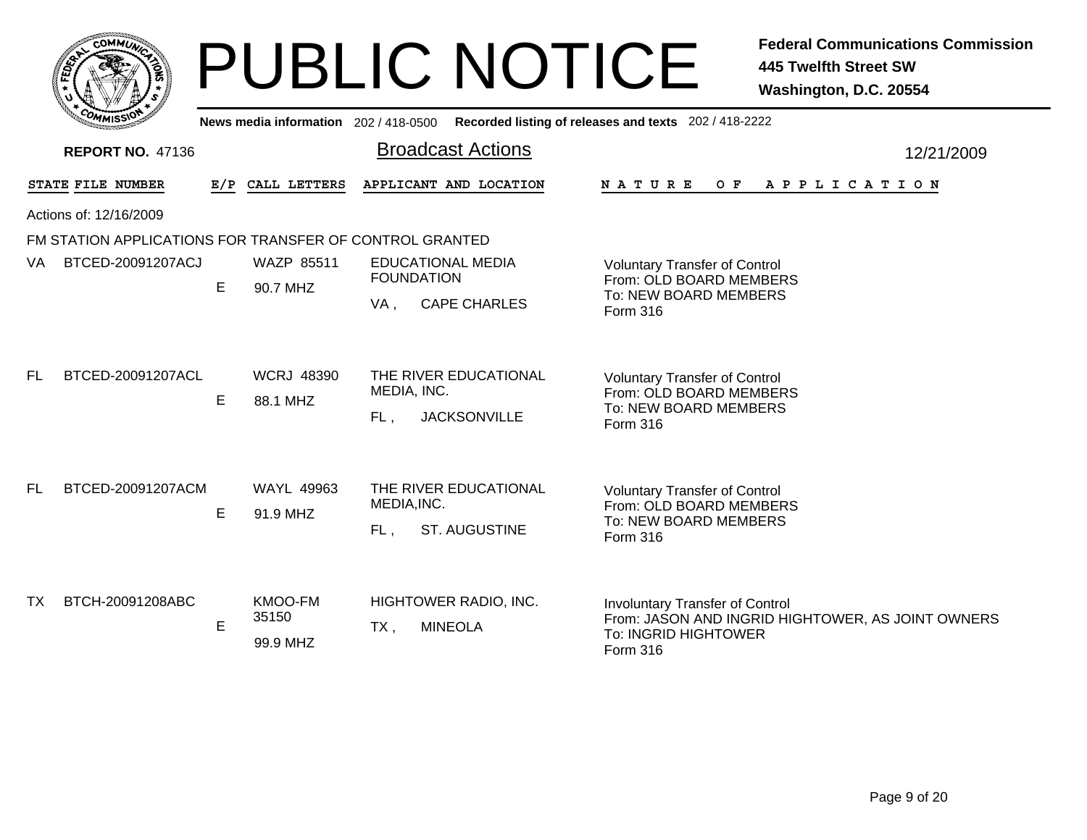|    |                  | <b>MMUNA</b><br>COI |   |  |
|----|------------------|---------------------|---|--|
| ຊ້ |                  |                     | ٥ |  |
|    |                  |                     |   |  |
|    | CO <sub>MI</sub> | MISS<br>muce        |   |  |

## PUBLIC NOTICE **Federal Communications Commission 445 Twelfth Street SW Washington, D.C. 20554**

|           | <b><i>MMISSI</i></b><br>News media information 202 / 418-0500 Recorded listing of releases and texts 202 / 418-2222 |   |                               |                                                                    |                                                                                                                                 |  |  |  |
|-----------|---------------------------------------------------------------------------------------------------------------------|---|-------------------------------|--------------------------------------------------------------------|---------------------------------------------------------------------------------------------------------------------------------|--|--|--|
|           | <b>REPORT NO. 47136</b>                                                                                             |   |                               | <b>Broadcast Actions</b>                                           | 12/21/2009                                                                                                                      |  |  |  |
|           | STATE FILE NUMBER                                                                                                   |   | E/P CALL LETTERS              | APPLICANT AND LOCATION                                             | N A T U R E<br>OF APPLICATION                                                                                                   |  |  |  |
|           | Actions of: 12/16/2009                                                                                              |   |                               |                                                                    |                                                                                                                                 |  |  |  |
|           | FM STATION APPLICATIONS FOR TRANSFER OF CONTROL GRANTED                                                             |   |                               |                                                                    |                                                                                                                                 |  |  |  |
| VA        | BTCED-20091207ACJ                                                                                                   | Е | WAZP 85511<br>90.7 MHZ        | <b>EDUCATIONAL MEDIA</b><br><b>FOUNDATION</b>                      | <b>Voluntary Transfer of Control</b><br>From: OLD BOARD MEMBERS                                                                 |  |  |  |
|           |                                                                                                                     |   |                               | <b>CAPE CHARLES</b><br>VA.                                         | To: NEW BOARD MEMBERS<br>Form 316                                                                                               |  |  |  |
| FL.       | BTCED-20091207ACL                                                                                                   | E | <b>WCRJ 48390</b><br>88.1 MHZ | THE RIVER EDUCATIONAL<br>MEDIA, INC.<br><b>JACKSONVILLE</b><br>FL, | <b>Voluntary Transfer of Control</b><br>From: OLD BOARD MEMBERS<br>To: NEW BOARD MEMBERS<br>Form 316                            |  |  |  |
| FL.       | BTCED-20091207ACM                                                                                                   | E | <b>WAYL 49963</b><br>91.9 MHZ | THE RIVER EDUCATIONAL<br>MEDIA, INC.<br>ST. AUGUSTINE<br>FL,       | <b>Voluntary Transfer of Control</b><br>From: OLD BOARD MEMBERS<br>To: NEW BOARD MEMBERS<br>Form 316                            |  |  |  |
| <b>TX</b> | BTCH-20091208ABC                                                                                                    | E | KMOO-FM<br>35150<br>99.9 MHZ  | HIGHTOWER RADIO, INC.<br><b>MINEOLA</b><br>TX,                     | <b>Involuntary Transfer of Control</b><br>From: JASON AND INGRID HIGHTOWER, AS JOINT OWNERS<br>To: INGRID HIGHTOWER<br>Form 316 |  |  |  |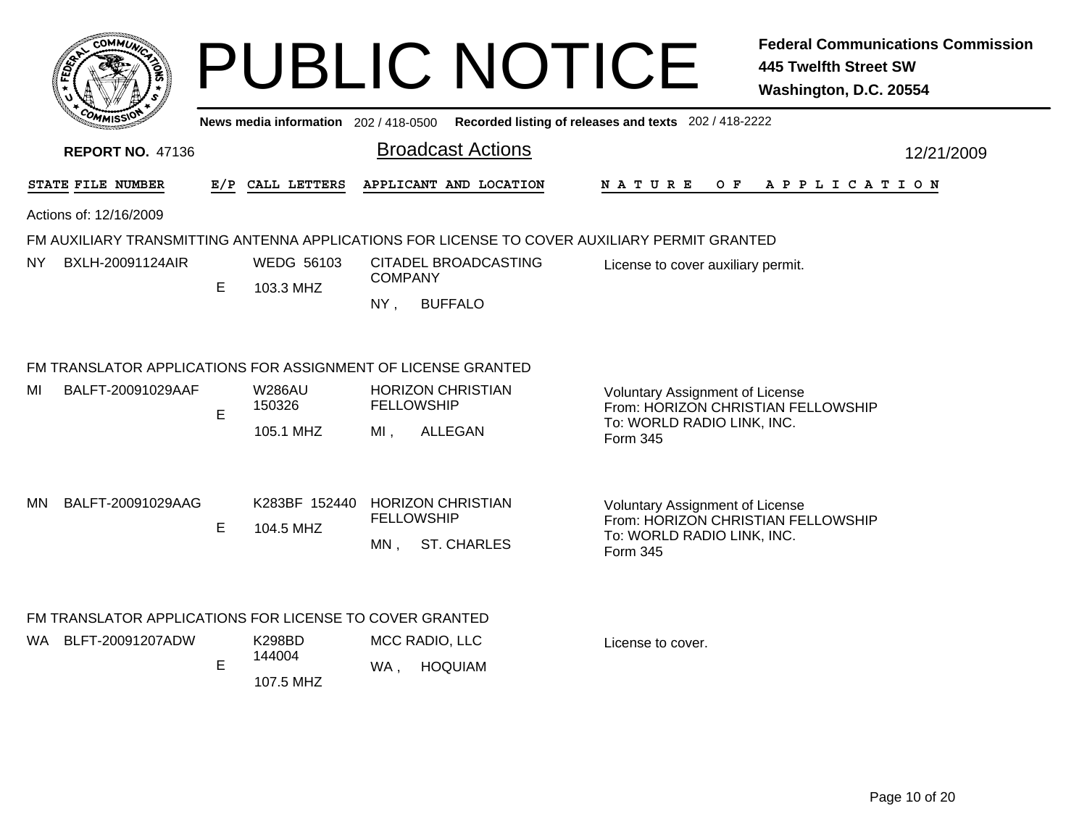|                         |     | COMMUT                                                                            |    |                                              |                                                                              | <b>PUBLIC NOTICE</b>                       |                                                                                                                        | <b>Federal Communications Commission</b><br><b>445 Twelfth Street SW</b><br>Washington, D.C. 20554 |  |  |  |
|-------------------------|-----|-----------------------------------------------------------------------------------|----|----------------------------------------------|------------------------------------------------------------------------------|--------------------------------------------|------------------------------------------------------------------------------------------------------------------------|----------------------------------------------------------------------------------------------------|--|--|--|
|                         |     |                                                                                   |    |                                              |                                                                              |                                            | News media information 202/418-0500 Recorded listing of releases and texts 202/418-2222                                |                                                                                                    |  |  |  |
| <b>REPORT NO. 47136</b> |     |                                                                                   |    |                                              |                                                                              | <b>Broadcast Actions</b>                   |                                                                                                                        | 12/21/2009                                                                                         |  |  |  |
|                         |     | STATE FILE NUMBER                                                                 |    | E/P CALL LETTERS                             |                                                                              | APPLICANT AND LOCATION                     | N A T U R E<br>O F                                                                                                     | A P P L I C A T I O N                                                                              |  |  |  |
|                         |     | Actions of: 12/16/2009                                                            |    |                                              |                                                                              |                                            |                                                                                                                        |                                                                                                    |  |  |  |
|                         |     |                                                                                   |    |                                              |                                                                              |                                            | FM AUXILIARY TRANSMITTING ANTENNA APPLICATIONS FOR LICENSE TO COVER AUXILIARY PERMIT GRANTED                           |                                                                                                    |  |  |  |
|                         | NY. | BXLH-20091124AIR                                                                  |    | WEDG 56103                                   | CITADEL BROADCASTING<br>License to cover auxiliary permit.<br><b>COMPANY</b> |                                            |                                                                                                                        |                                                                                                    |  |  |  |
|                         |     |                                                                                   | E. | 103.3 MHZ                                    | NY,                                                                          | <b>BUFFALO</b>                             |                                                                                                                        |                                                                                                    |  |  |  |
|                         | MI  | FM TRANSLATOR APPLICATIONS FOR ASSIGNMENT OF LICENSE GRANTED<br>BALFT-20091029AAF | E  | <b>W286AU</b><br>150326<br>105.1 MHZ         | <b>FELLOWSHIP</b><br>MI.                                                     | <b>HORIZON CHRISTIAN</b><br><b>ALLEGAN</b> | <b>Voluntary Assignment of License</b><br>From: HORIZON CHRISTIAN FELLOWSHIP<br>To: WORLD RADIO LINK, INC.<br>Form 345 |                                                                                                    |  |  |  |
|                         | MN. | BALFT-20091029AAG                                                                 | Е  | K283BF 152440 HORIZON CHRISTIAN<br>104.5 MHZ | <b>FELLOWSHIP</b><br>$MN$ ,                                                  | <b>ST. CHARLES</b>                         | <b>Voluntary Assignment of License</b><br>From: HORIZON CHRISTIAN FELLOWSHIP<br>To: WORLD RADIO LINK, INC.<br>Form 345 |                                                                                                    |  |  |  |
|                         |     | FM TRANSLATOR APPLICATIONS FOR LICENSE TO COVER GRANTED                           |    |                                              |                                                                              |                                            |                                                                                                                        |                                                                                                    |  |  |  |
|                         | WA. | BLFT-20091207ADW                                                                  | E  | K298BD<br>144004<br>107.5 MHZ                | WA,                                                                          | MCC RADIO, LLC<br><b>HOQUIAM</b>           | License to cover.                                                                                                      |                                                                                                    |  |  |  |
|                         |     |                                                                                   |    |                                              |                                                                              |                                            |                                                                                                                        |                                                                                                    |  |  |  |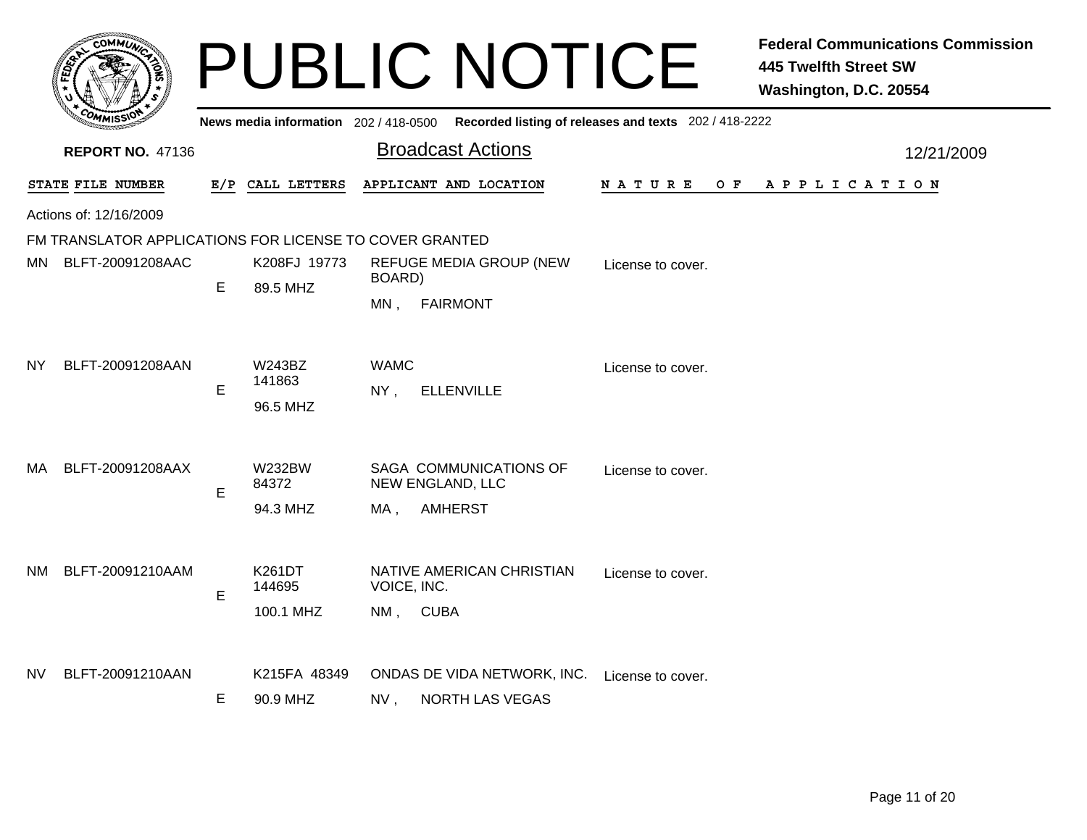|     | <b>сОММИ</b>                                            |     |                                     |                         | <b>PUBLIC NOTICE</b>                                                                    |                    | <b>Federal Communications Commission</b><br><b>445 Twelfth Street SW</b><br>Washington, D.C. 20554 |
|-----|---------------------------------------------------------|-----|-------------------------------------|-------------------------|-----------------------------------------------------------------------------------------|--------------------|----------------------------------------------------------------------------------------------------|
|     |                                                         |     |                                     |                         | News media information 202/418-0500 Recorded listing of releases and texts 202/418-2222 |                    |                                                                                                    |
|     | <b>REPORT NO. 47136</b>                                 |     |                                     |                         | <b>Broadcast Actions</b>                                                                |                    | 12/21/2009                                                                                         |
|     | STATE FILE NUMBER                                       | E/P | CALL LETTERS                        |                         | APPLICANT AND LOCATION                                                                  | O F<br>N A T U R E | A P P L I C A T I O N                                                                              |
|     | Actions of: 12/16/2009                                  |     |                                     |                         |                                                                                         |                    |                                                                                                    |
|     | FM TRANSLATOR APPLICATIONS FOR LICENSE TO COVER GRANTED |     |                                     |                         |                                                                                         |                    |                                                                                                    |
|     | MN BLFT-20091208AAC                                     | Е   | K208FJ 19773                        | BOARD)                  | <b>REFUGE MEDIA GROUP (NEW)</b>                                                         | License to cover.  |                                                                                                    |
|     |                                                         |     | 89.5 MHZ                            | MN,                     | <b>FAIRMONT</b>                                                                         |                    |                                                                                                    |
| NY. | BLFT-20091208AAN                                        | E   | <b>W243BZ</b><br>141863<br>96.5 MHZ | <b>WAMC</b><br>$NY$ ,   | <b>ELLENVILLE</b>                                                                       | License to cover.  |                                                                                                    |
| MA. | BLFT-20091208AAX                                        | E   | <b>W232BW</b><br>84372<br>94.3 MHZ  | MA.                     | SAGA COMMUNICATIONS OF<br>NEW ENGLAND, LLC<br><b>AMHERST</b>                            | License to cover.  |                                                                                                    |
| NM  | BLFT-20091210AAM                                        | E   | K261DT<br>144695<br>100.1 MHZ       | VOICE, INC.<br>NM, CUBA | NATIVE AMERICAN CHRISTIAN                                                               | License to cover.  |                                                                                                    |
| NV. | BLFT-20091210AAN                                        | Е   | K215FA 48349<br>90.9 MHZ            | NV,                     | ONDAS DE VIDA NETWORK, INC.<br><b>NORTH LAS VEGAS</b>                                   | License to cover.  |                                                                                                    |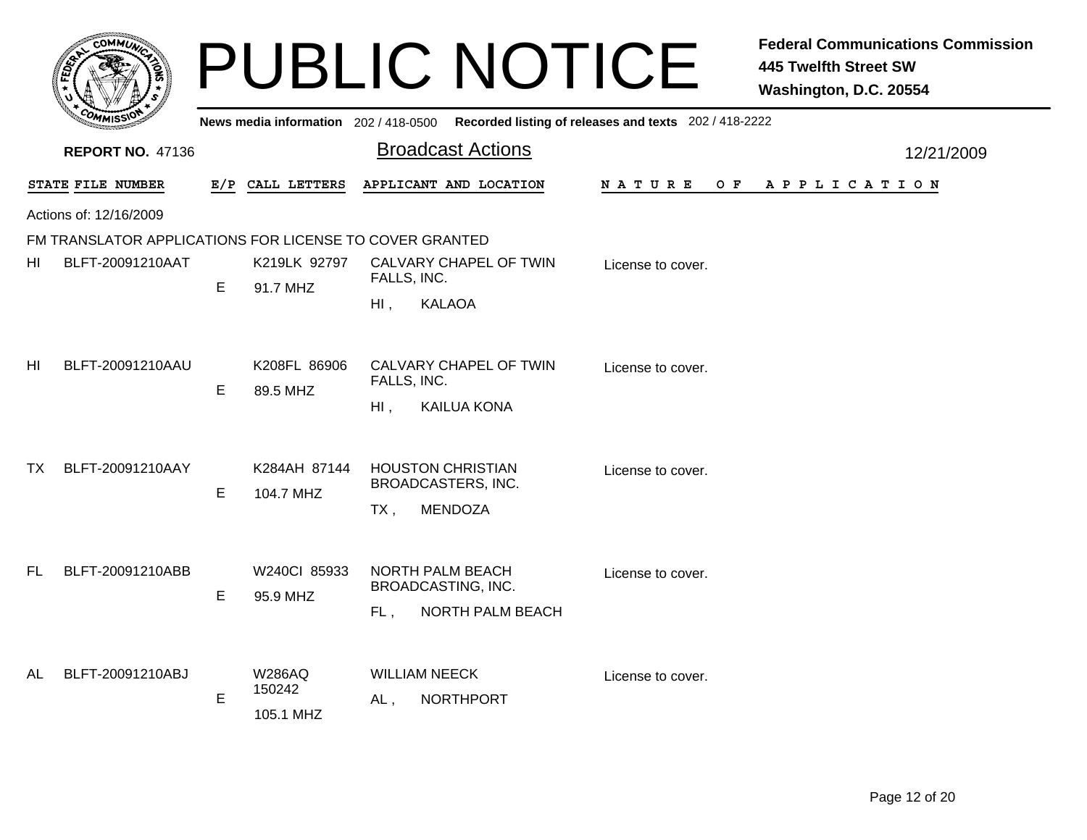|                | <b>COMMUT</b>                                           |   |                                       | <b>PUBLIC NOTICE</b>                                                            |                   | <b>Federal Communications Commission</b><br><b>445 Twelfth Street SW</b><br>Washington, D.C. 20554 |
|----------------|---------------------------------------------------------|---|---------------------------------------|---------------------------------------------------------------------------------|-------------------|----------------------------------------------------------------------------------------------------|
|                |                                                         |   | News media information 202 / 418-0500 | Recorded listing of releases and texts 202 / 418-2222                           |                   |                                                                                                    |
|                | <b>REPORT NO. 47136</b>                                 |   |                                       | <b>Broadcast Actions</b>                                                        |                   | 12/21/2009                                                                                         |
|                | STATE FILE NUMBER                                       |   | E/P CALL LETTERS                      | APPLICANT AND LOCATION                                                          | N A T U R E       | OF APPLICATION                                                                                     |
|                | Actions of: 12/16/2009                                  |   |                                       |                                                                                 |                   |                                                                                                    |
|                | FM TRANSLATOR APPLICATIONS FOR LICENSE TO COVER GRANTED |   |                                       |                                                                                 |                   |                                                                                                    |
| HI             | BLFT-20091210AAT                                        | E | K219LK 92797<br>91.7 MHZ              | CALVARY CHAPEL OF TWIN<br>FALLS, INC.<br><b>KALAOA</b><br>HI,                   | License to cover. |                                                                                                    |
| H <sub>l</sub> | BLFT-20091210AAU                                        | E | K208FL 86906<br>89.5 MHZ              | CALVARY CHAPEL OF TWIN<br>FALLS, INC.<br><b>KAILUA KONA</b><br>$HI$ ,           | License to cover. |                                                                                                    |
| ТX             | BLFT-20091210AAY                                        | E | K284AH 87144<br>104.7 MHZ             | <b>HOUSTON CHRISTIAN</b><br>BROADCASTERS, INC.<br><b>MENDOZA</b><br>$TX$ ,      | License to cover. |                                                                                                    |
| <b>FL</b>      | BLFT-20091210ABB                                        | E | W240Cl 85933<br>95.9 MHZ              | <b>NORTH PALM BEACH</b><br>BROADCASTING, INC.<br><b>NORTH PALM BEACH</b><br>FL, | License to cover. |                                                                                                    |
| <b>AL</b>      | BLFT-20091210ABJ                                        | E | <b>W286AQ</b><br>150242<br>105.1 MHZ  | <b>WILLIAM NEECK</b><br><b>NORTHPORT</b><br>AL,                                 | License to cover. |                                                                                                    |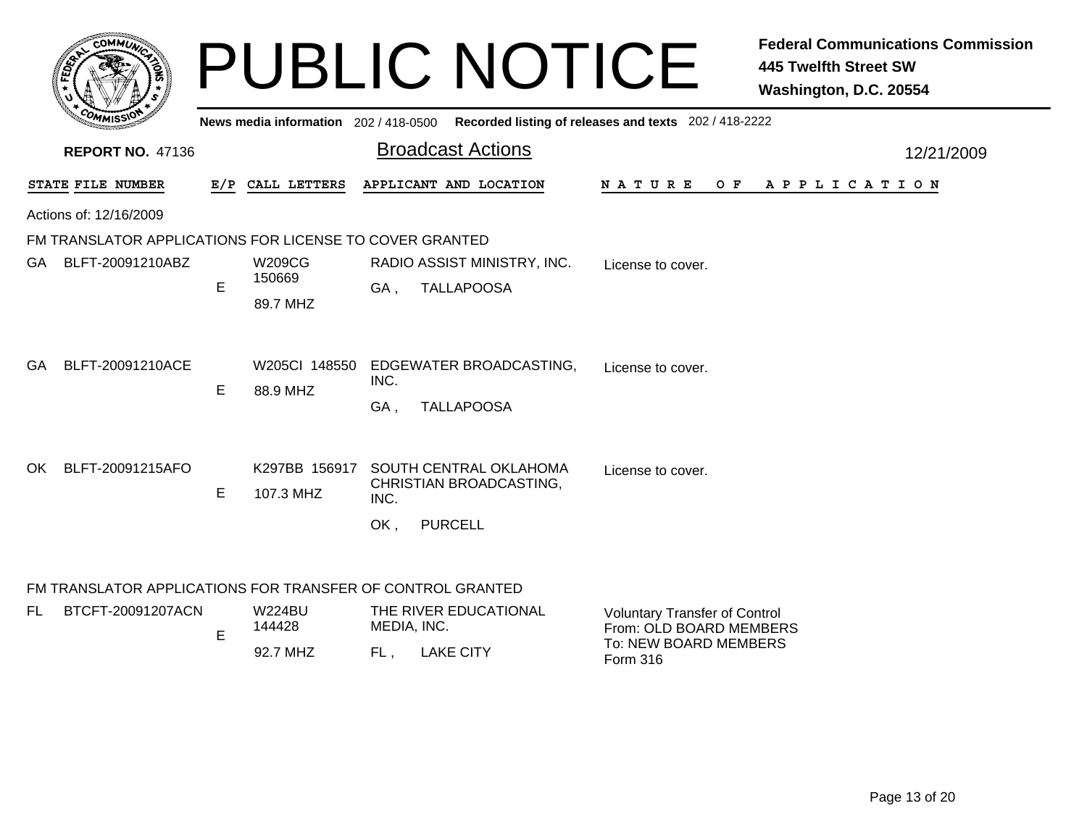|                                                         |     |                                       | <b>PUBLIC NOTICE</b>                                                               | <b>445 Twelfth Street SW</b><br>Washington, D.C. 20554                                               | <b>Federal Communications Commission</b> |  |
|---------------------------------------------------------|-----|---------------------------------------|------------------------------------------------------------------------------------|------------------------------------------------------------------------------------------------------|------------------------------------------|--|
|                                                         |     | News media information $202/418-0500$ |                                                                                    | Recorded listing of releases and texts 202 / 418-2222                                                |                                          |  |
| <b>REPORT NO. 47136</b>                                 |     |                                       | <b>Broadcast Actions</b>                                                           | 12/21/2009                                                                                           |                                          |  |
| STATE FILE NUMBER                                       | E/P | CALL LETTERS                          | APPLICANT AND LOCATION                                                             | O F<br>N A T U R E<br>A P P L I C A T I O N                                                          |                                          |  |
| Actions of: 12/16/2009                                  |     |                                       |                                                                                    |                                                                                                      |                                          |  |
| FM TRANSLATOR APPLICATIONS FOR LICENSE TO COVER GRANTED |     |                                       |                                                                                    |                                                                                                      |                                          |  |
| GA BLFT-20091210ABZ                                     | E   | <b>W209CG</b><br>150669<br>89.7 MHZ   | RADIO ASSIST MINISTRY, INC.<br><b>TALLAPOOSA</b><br>GA.                            | License to cover.                                                                                    |                                          |  |
| GA<br>BLFT-20091210ACE                                  | E   | W205CI 148550<br>88.9 MHZ             | EDGEWATER BROADCASTING,<br>INC.<br><b>TALLAPOOSA</b><br>GA .                       | License to cover.                                                                                    |                                          |  |
| BLFT-20091215AFO<br>OK                                  | E   | K297BB 156917<br>107.3 MHZ            | SOUTH CENTRAL OKLAHOMA<br>CHRISTIAN BROADCASTING,<br>INC.<br>OK,<br><b>PURCELL</b> | License to cover.                                                                                    |                                          |  |
|                                                         |     |                                       | FM TRANSLATOR APPLICATIONS FOR TRANSFER OF CONTROL GRANTED                         |                                                                                                      |                                          |  |
| FL.<br>BTCFT-20091207ACN                                | E   | <b>W224BU</b><br>144428<br>92.7 MHZ   | THE RIVER EDUCATIONAL<br>MEDIA, INC.<br>FL,<br><b>LAKE CITY</b>                    | <b>Voluntary Transfer of Control</b><br>From: OLD BOARD MEMBERS<br>To: NEW BOARD MEMBERS<br>Form 316 |                                          |  |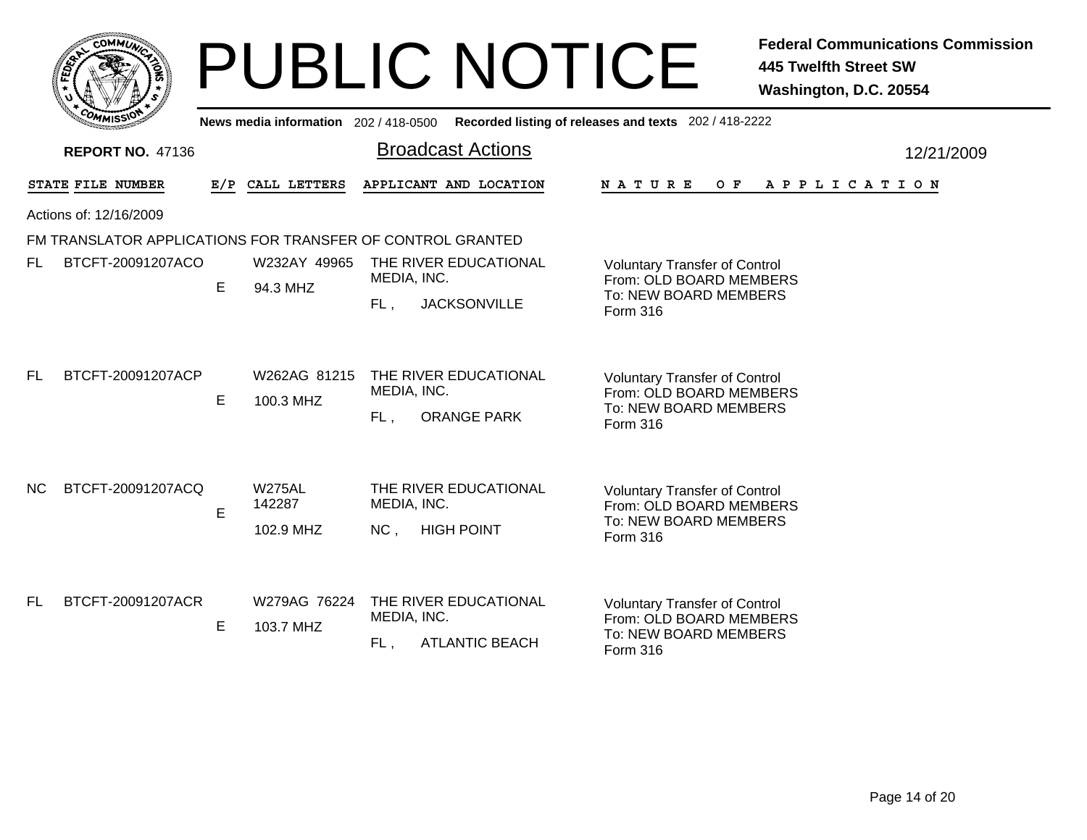|           |                         |     |                                       | <b>PUBLIC NOTICE</b>                                                 | <b>Federal Communications Commission</b><br><b>445 Twelfth Street SW</b><br>Washington, D.C. 20554          |  |
|-----------|-------------------------|-----|---------------------------------------|----------------------------------------------------------------------|-------------------------------------------------------------------------------------------------------------|--|
|           |                         |     | News media information 202 / 418-0500 |                                                                      | Recorded listing of releases and texts 202 / 418-2222                                                       |  |
|           | <b>REPORT NO. 47136</b> |     |                                       | <b>Broadcast Actions</b>                                             | 12/21/2009                                                                                                  |  |
|           | STATE FILE NUMBER       | E/P | CALL LETTERS                          | APPLICANT AND LOCATION                                               | N A T U R E<br>O F<br>A P P L I C A T I O N                                                                 |  |
|           | Actions of: 12/16/2009  |     |                                       |                                                                      |                                                                                                             |  |
|           |                         |     |                                       | FM TRANSLATOR APPLICATIONS FOR TRANSFER OF CONTROL GRANTED           |                                                                                                             |  |
| FL.       | BTCFT-20091207ACO       |     | W232AY 49965                          | THE RIVER EDUCATIONAL<br>MEDIA, INC.                                 | <b>Voluntary Transfer of Control</b><br>From: OLD BOARD MEMBERS                                             |  |
|           |                         | E   | 94.3 MHZ                              | <b>JACKSONVILLE</b><br>FL,                                           | To: NEW BOARD MEMBERS<br><b>Form 316</b>                                                                    |  |
| <b>FL</b> | BTCFT-20091207ACP       | E   | W262AG 81215<br>100.3 MHZ             | THE RIVER EDUCATIONAL<br>MEDIA, INC.<br><b>ORANGE PARK</b><br>FL.    | <b>Voluntary Transfer of Control</b><br>From: OLD BOARD MEMBERS<br>To: NEW BOARD MEMBERS<br>Form 316        |  |
| NC.       | BTCFT-20091207ACQ       | E   | <b>W275AL</b><br>142287<br>102.9 MHZ  | THE RIVER EDUCATIONAL<br>MEDIA, INC.<br><b>HIGH POINT</b><br>NC.     | <b>Voluntary Transfer of Control</b><br>From: OLD BOARD MEMBERS<br>To: NEW BOARD MEMBERS<br><b>Form 316</b> |  |
| FL.       | BTCFT-20091207ACR       | E   | W279AG 76224<br>103.7 MHZ             | THE RIVER EDUCATIONAL<br>MEDIA, INC.<br><b>ATLANTIC BEACH</b><br>FL. | <b>Voluntary Transfer of Control</b><br>From: OLD BOARD MEMBERS<br>To: NEW BOARD MEMBERS<br><b>Form 316</b> |  |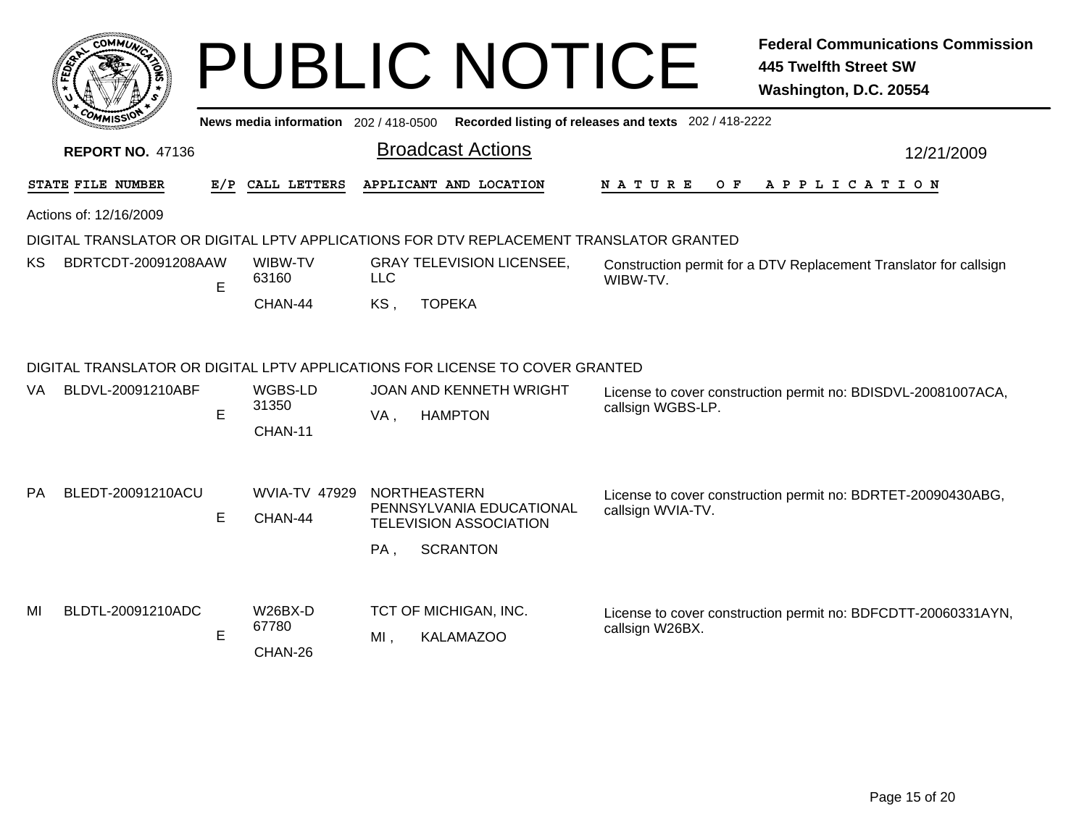|     | <b>COMMUT</b>                                                                                                                                                                                            |                                                       |                                    |            | <b>PUBLIC NOTICE</b>                                                                                |                    | <b>Federal Communications Commission</b><br><b>445 Twelfth Street SW</b><br>Washington, D.C. 20554 |  |  |
|-----|----------------------------------------------------------------------------------------------------------------------------------------------------------------------------------------------------------|-------------------------------------------------------|------------------------------------|------------|-----------------------------------------------------------------------------------------------------|--------------------|----------------------------------------------------------------------------------------------------|--|--|
|     | News media information 202/418-0500                                                                                                                                                                      | Recorded listing of releases and texts 202 / 418-2222 |                                    |            |                                                                                                     |                    |                                                                                                    |  |  |
|     | <b>REPORT NO. 47136</b>                                                                                                                                                                                  |                                                       |                                    |            | <b>Broadcast Actions</b>                                                                            |                    | 12/21/2009                                                                                         |  |  |
|     | STATE FILE NUMBER                                                                                                                                                                                        | E/P                                                   | CALL LETTERS                       |            | APPLICANT AND LOCATION                                                                              | N A T U R E<br>O F | A P P L I C A T I O N                                                                              |  |  |
|     | Actions of: 12/16/2009                                                                                                                                                                                   |                                                       |                                    |            |                                                                                                     |                    |                                                                                                    |  |  |
|     |                                                                                                                                                                                                          |                                                       |                                    |            | DIGITAL TRANSLATOR OR DIGITAL LPTV APPLICATIONS FOR DTV REPLACEMENT TRANSLATOR GRANTED              |                    |                                                                                                    |  |  |
| ΚS  | BDRTCDT-20091208AAW                                                                                                                                                                                      | E                                                     | WIBW-TV<br>63160                   | <b>LLC</b> | <b>GRAY TELEVISION LICENSEE,</b>                                                                    | WIBW-TV.           | Construction permit for a DTV Replacement Translator for callsign                                  |  |  |
|     |                                                                                                                                                                                                          |                                                       | CHAN-44                            | KS,        | <b>TOPEKA</b>                                                                                       |                    |                                                                                                    |  |  |
| VA. | DIGITAL TRANSLATOR OR DIGITAL LPTV APPLICATIONS FOR LICENSE TO COVER GRANTED<br>BLDVL-20091210ABF<br>WGBS-LD<br>JOAN AND KENNETH WRIGHT<br>License to cover construction permit no: BDISDVL-20081007ACA, |                                                       |                                    |            |                                                                                                     |                    |                                                                                                    |  |  |
|     |                                                                                                                                                                                                          | E                                                     | 31350<br>CHAN-11                   | VA,        | <b>HAMPTON</b>                                                                                      | callsign WGBS-LP.  |                                                                                                    |  |  |
| PA. | BLEDT-20091210ACU                                                                                                                                                                                        | E                                                     | <b>WVIA-TV 47929</b><br>CHAN-44    | $PA$ .     | <b>NORTHEASTERN</b><br>PENNSYLVANIA EDUCATIONAL<br><b>TELEVISION ASSOCIATION</b><br><b>SCRANTON</b> | callsign WVIA-TV.  | License to cover construction permit no: BDRTET-20090430ABG,                                       |  |  |
| MI  | BLDTL-20091210ADC                                                                                                                                                                                        | E                                                     | <b>W26BX-D</b><br>67780<br>CHAN-26 | MI.        | TCT OF MICHIGAN, INC.<br><b>KALAMAZOO</b>                                                           | callsign W26BX.    | License to cover construction permit no: BDFCDTT-20060331AYN,                                      |  |  |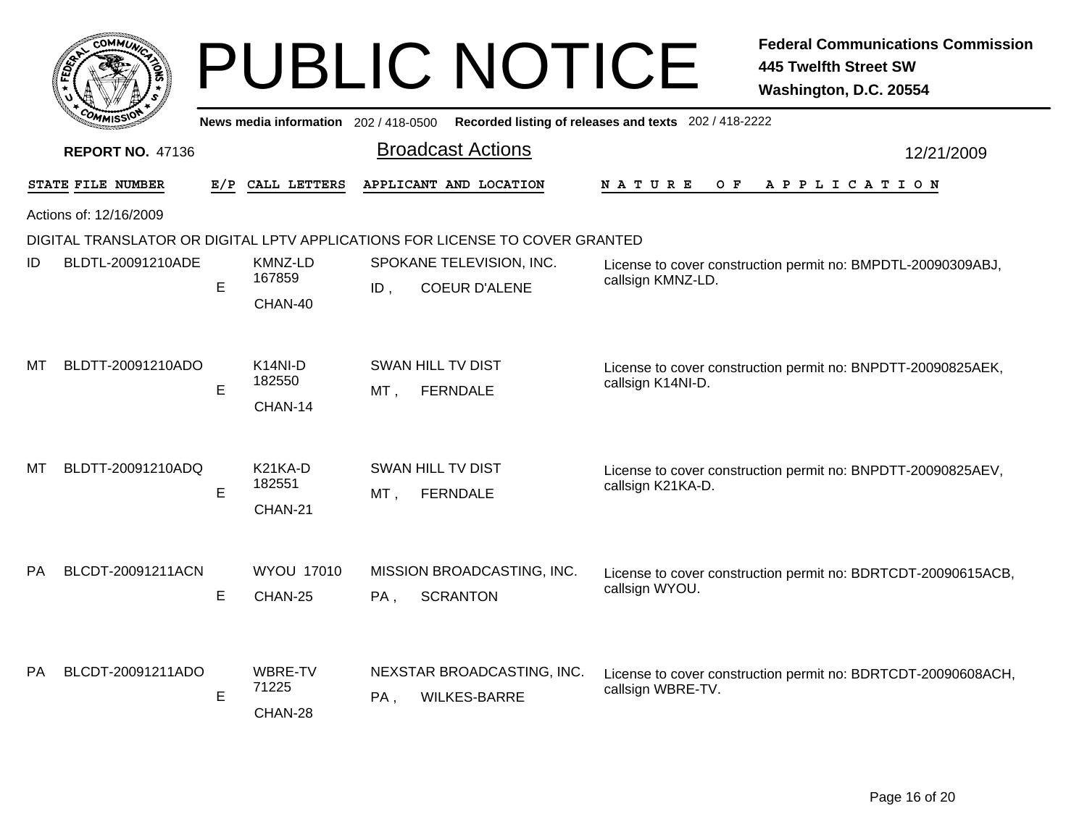|    | <b>COMMUX</b>           |     |                                                        |     | <b>PUBLIC NOTICE</b>                                                         |                                                       | <b>Federal Communications Commission</b><br><b>445 Twelfth Street SW</b><br>Washington, D.C. 20554 |  |
|----|-------------------------|-----|--------------------------------------------------------|-----|------------------------------------------------------------------------------|-------------------------------------------------------|----------------------------------------------------------------------------------------------------|--|
|    |                         |     | News media information $202/418-0500$                  |     |                                                                              | Recorded listing of releases and texts 202 / 418-2222 |                                                                                                    |  |
|    | <b>REPORT NO. 47136</b> |     |                                                        |     | <b>Broadcast Actions</b>                                                     |                                                       | 12/21/2009                                                                                         |  |
|    | STATE FILE NUMBER       | E/P | CALL LETTERS                                           |     | APPLICANT AND LOCATION                                                       | N A T U R E<br>O F                                    | A P P L I C A T I O N                                                                              |  |
|    | Actions of: 12/16/2009  |     |                                                        |     |                                                                              |                                                       |                                                                                                    |  |
|    |                         |     |                                                        |     | DIGITAL TRANSLATOR OR DIGITAL LPTV APPLICATIONS FOR LICENSE TO COVER GRANTED |                                                       |                                                                                                    |  |
| ID | BLDTL-20091210ADE       |     | KMNZ-LD                                                |     | SPOKANE TELEVISION, INC.                                                     |                                                       | License to cover construction permit no: BMPDTL-20090309ABJ,                                       |  |
|    |                         | E   | 167859                                                 | ID. | <b>COEUR D'ALENE</b>                                                         | callsign KMNZ-LD.                                     |                                                                                                    |  |
| МΤ | BLDTT-20091210ADO       | E   | CHAN-40<br>$K14NI-D$<br>182550<br>CHAN-14              | MT, | <b>SWAN HILL TV DIST</b><br><b>FERNDALE</b>                                  | callsign K14NI-D.                                     | License to cover construction permit no: BNPDTT-20090825AEK,                                       |  |
| МΤ | BLDTT-20091210ADQ       | E   | K <sub>21</sub> K <sub>A</sub> -D<br>182551<br>CHAN-21 | MT, | <b>SWAN HILL TV DIST</b><br><b>FERNDALE</b>                                  | callsign K21KA-D.                                     | License to cover construction permit no: BNPDTT-20090825AEV,                                       |  |
| PA | BLCDT-20091211ACN       | E   | <b>WYOU 17010</b><br>CHAN-25                           | PA, | MISSION BROADCASTING, INC.<br><b>SCRANTON</b>                                | callsign WYOU.                                        | License to cover construction permit no: BDRTCDT-20090615ACB,                                      |  |
| РA | BLCDT-20091211ADO       | E   | WBRE-TV<br>71225<br>CHAN-28                            | PA, | NEXSTAR BROADCASTING, INC.<br><b>WILKES-BARRE</b>                            | callsign WBRE-TV.                                     | License to cover construction permit no: BDRTCDT-20090608ACH,                                      |  |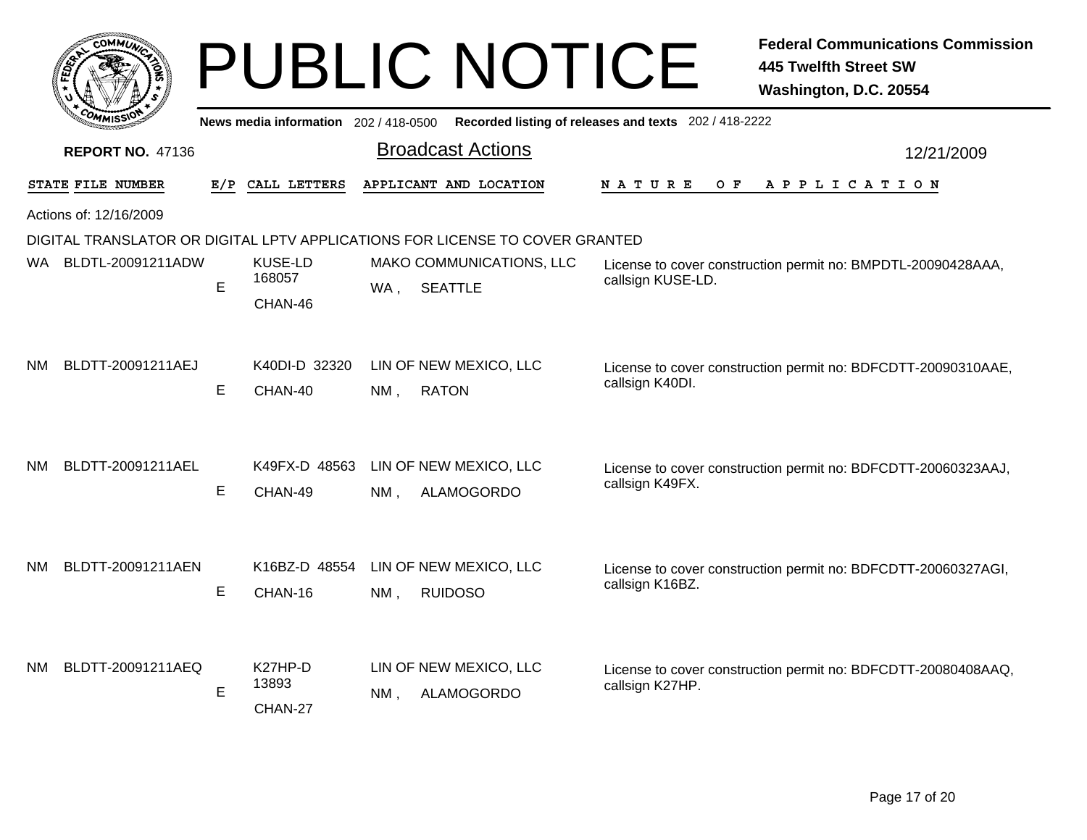|     | COMMUN                  |     |                                          | <b>PUBLIC NOTICE</b>                                                         | <b>Federal Communications Commission</b><br><b>445 Twelfth Street SW</b><br>Washington, D.C. 20554 |
|-----|-------------------------|-----|------------------------------------------|------------------------------------------------------------------------------|----------------------------------------------------------------------------------------------------|
|     |                         |     | News media information 202/418-0500      |                                                                              | Recorded listing of releases and texts 202 / 418-2222                                              |
|     | <b>REPORT NO. 47136</b> |     |                                          | <b>Broadcast Actions</b>                                                     | 12/21/2009                                                                                         |
|     | STATE FILE NUMBER       | E/P | CALL LETTERS                             | APPLICANT AND LOCATION                                                       | N A T U R E<br>O F<br>A P P L I C A T I O N                                                        |
|     | Actions of: 12/16/2009  |     |                                          |                                                                              |                                                                                                    |
|     |                         |     |                                          | DIGITAL TRANSLATOR OR DIGITAL LPTV APPLICATIONS FOR LICENSE TO COVER GRANTED |                                                                                                    |
|     | WA BLDTL-20091211ADW    | E   | KUSE-LD<br>168057<br>CHAN-46             | MAKO COMMUNICATIONS, LLC<br>SEATTLE<br>WA ,                                  | License to cover construction permit no: BMPDTL-20090428AAA,<br>callsign KUSE-LD.                  |
| NM  | BLDTT-20091211AEJ       | Е   | K40DI-D 32320<br>CHAN-40                 | LIN OF NEW MEXICO, LLC<br><b>RATON</b><br>NM,                                | License to cover construction permit no: BDFCDTT-20090310AAE,<br>callsign K40DI.                   |
| NM. | BLDTT-20091211AEL       | E   | K49FX-D 48563<br>CHAN-49                 | LIN OF NEW MEXICO, LLC<br><b>ALAMOGORDO</b><br>NM.                           | License to cover construction permit no: BDFCDTT-20060323AAJ,<br>callsign K49FX.                   |
| NΜ  | BLDTT-20091211AEN       | E   | K16BZ-D 48554<br>CHAN-16                 | LIN OF NEW MEXICO, LLC<br>$NM$ ,<br><b>RUIDOSO</b>                           | License to cover construction permit no: BDFCDTT-20060327AGI,<br>callsign K16BZ.                   |
| NM. | BLDTT-20091211AEQ       | E   | K <sub>27</sub> HP-D<br>13893<br>CHAN-27 | LIN OF NEW MEXICO, LLC<br><b>ALAMOGORDO</b><br>NM.                           | License to cover construction permit no: BDFCDTT-20080408AAQ,<br>callsign K27HP.                   |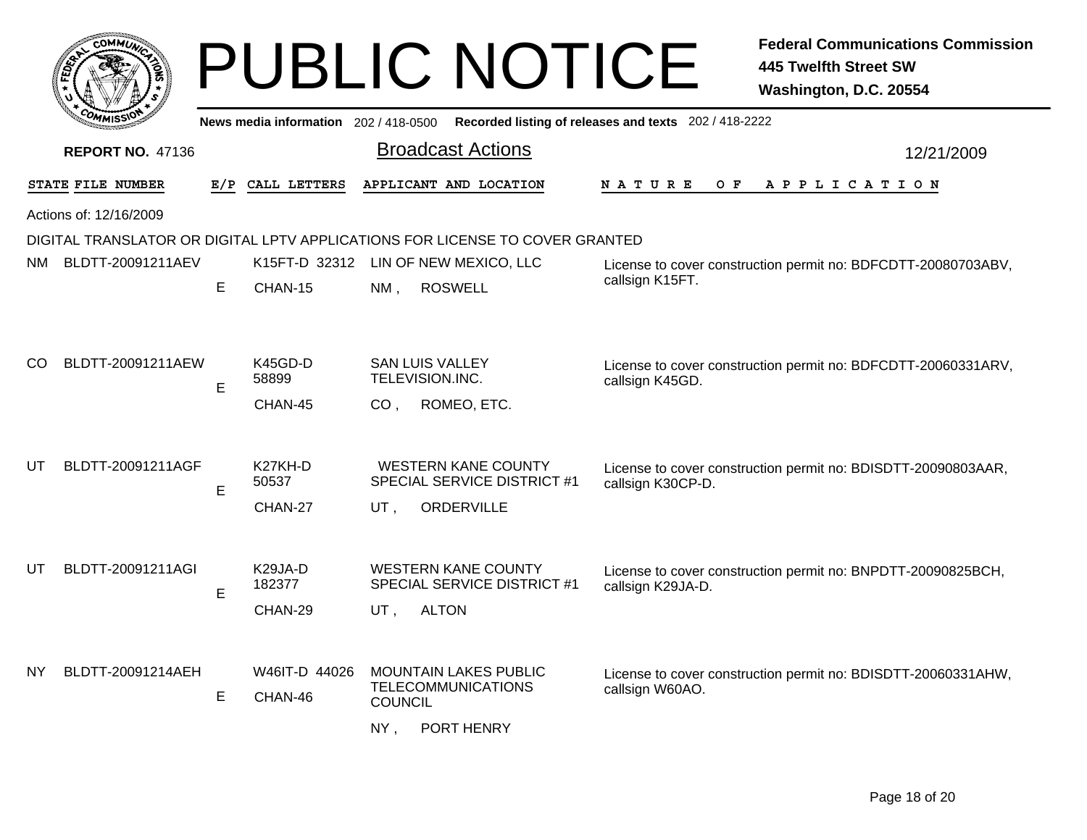|     |                         |     |                                           |                | <b>PUBLIC NOTICE</b>                                                         |                                                       | <b>Federal Communications Commission</b><br><b>445 Twelfth Street SW</b><br>Washington, D.C. 20554 |
|-----|-------------------------|-----|-------------------------------------------|----------------|------------------------------------------------------------------------------|-------------------------------------------------------|----------------------------------------------------------------------------------------------------|
|     |                         |     | News media information 202/418-0500       |                |                                                                              | Recorded listing of releases and texts 202 / 418-2222 |                                                                                                    |
|     | <b>REPORT NO. 47136</b> |     |                                           |                | <b>Broadcast Actions</b>                                                     |                                                       | 12/21/2009                                                                                         |
|     | STATE FILE NUMBER       | E/P | CALL LETTERS                              |                | APPLICANT AND LOCATION                                                       | N A T U R E<br>O F                                    | APPLICATION                                                                                        |
|     | Actions of: 12/16/2009  |     |                                           |                |                                                                              |                                                       |                                                                                                    |
|     |                         |     |                                           |                | DIGITAL TRANSLATOR OR DIGITAL LPTV APPLICATIONS FOR LICENSE TO COVER GRANTED |                                                       |                                                                                                    |
| NM. | BLDTT-20091211AEV       |     |                                           |                | K15FT-D 32312 LIN OF NEW MEXICO, LLC                                         |                                                       | License to cover construction permit no: BDFCDTT-20080703ABV,                                      |
|     |                         | E   | CHAN-15                                   | NM ,           | <b>ROSWELL</b>                                                               | callsign K15FT.                                       |                                                                                                    |
| CO  | BLDTT-20091211AEW       | E   | K45GD-D<br>58899<br>CHAN-45               | CO.            | <b>SAN LUIS VALLEY</b><br>TELEVISION.INC.<br>ROMEO, ETC.                     | callsign K45GD.                                       | License to cover construction permit no: BDFCDTT-20060331ARV,                                      |
| UT  | BLDTT-20091211AGF       | E   | K27KH-D<br>50537                          |                | <b>WESTERN KANE COUNTY</b><br><b>SPECIAL SERVICE DISTRICT #1</b>             | callsign K30CP-D.                                     | License to cover construction permit no: BDISDTT-20090803AAR,                                      |
|     |                         |     | CHAN-27                                   | UT,            | ORDERVILLE                                                                   |                                                       |                                                                                                    |
| UT. | BLDTT-20091211AGI       | E.  | K <sub>29</sub> JA-D<br>182377<br>CHAN-29 | UT .           | <b>WESTERN KANE COUNTY</b><br>SPECIAL SERVICE DISTRICT #1<br><b>ALTON</b>    | callsign K29JA-D.                                     | License to cover construction permit no: BNPDTT-20090825BCH,                                       |
| NY  | BLDTT-20091214AEH       |     | W46IT-D 44026                             |                | <b>MOUNTAIN LAKES PUBLIC</b>                                                 |                                                       | License to cover construction permit no: BDISDTT-20060331AHW,                                      |
|     |                         | Е   | CHAN-46                                   | <b>COUNCIL</b> | <b>TELECOMMUNICATIONS</b>                                                    | callsign W60AO.                                       |                                                                                                    |
|     |                         |     |                                           | $NY$ ,         | PORT HENRY                                                                   |                                                       |                                                                                                    |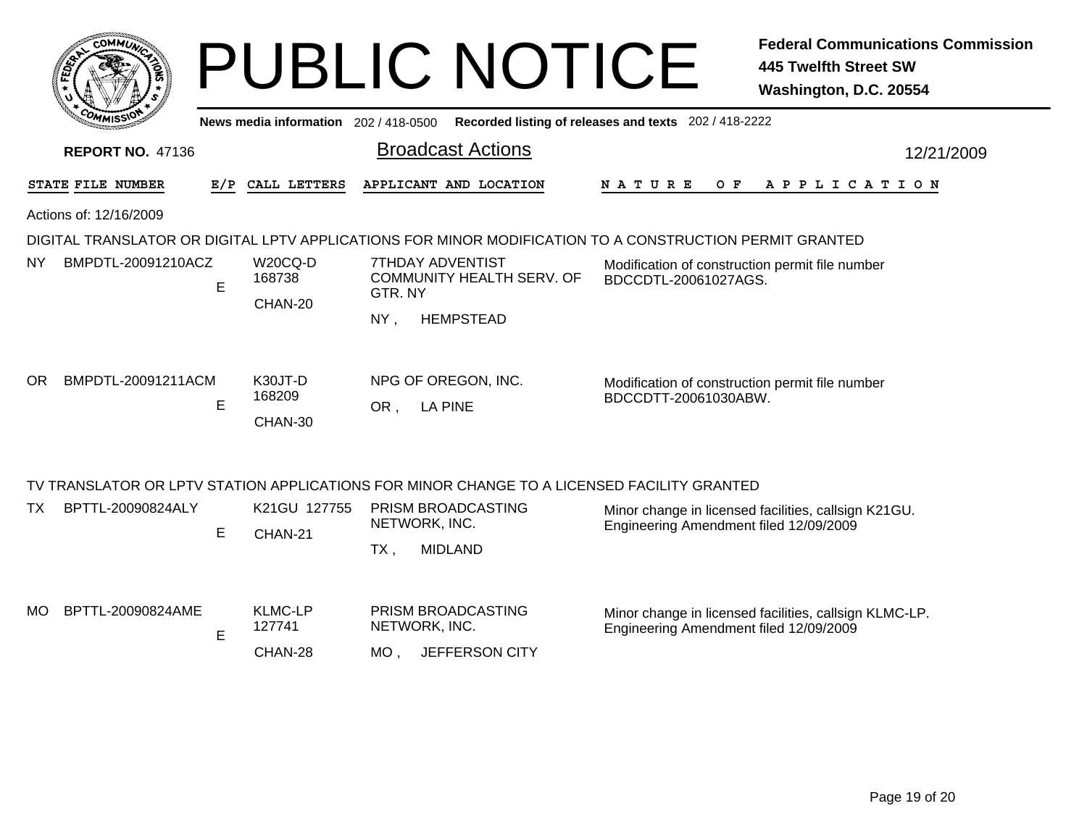|                                                                                                                                   |     |                                     | <b>PUBLIC NOTICE</b>                                                                        |                                                                         | <b>Federal Communications Commission</b><br><b>445 Twelfth Street SW</b><br>Washington, D.C. 20554 |  |  |  |
|-----------------------------------------------------------------------------------------------------------------------------------|-----|-------------------------------------|---------------------------------------------------------------------------------------------|-------------------------------------------------------------------------|----------------------------------------------------------------------------------------------------|--|--|--|
|                                                                                                                                   |     |                                     | News media information 202 / 418-0500 Recorded listing of releases and texts 202 / 418-2222 |                                                                         |                                                                                                    |  |  |  |
| <b>REPORT NO. 47136</b>                                                                                                           |     |                                     | <b>Broadcast Actions</b>                                                                    |                                                                         | 12/21/2009                                                                                         |  |  |  |
| STATE FILE NUMBER                                                                                                                 | E/P | CALL LETTERS                        | APPLICANT AND LOCATION                                                                      | N A T U R E                                                             | OF APPLICATION                                                                                     |  |  |  |
| Actions of: 12/16/2009<br>DIGITAL TRANSLATOR OR DIGITAL LPTV APPLICATIONS FOR MINOR MODIFICATION TO A CONSTRUCTION PERMIT GRANTED |     |                                     |                                                                                             |                                                                         |                                                                                                    |  |  |  |
| BMPDTL-20091210ACZ<br>NY                                                                                                          | E   | W20CQ-D<br>168738<br>CHAN-20        | 7THDAY ADVENTIST<br><b>COMMUNITY HEALTH SERV. OF</b><br>GTR. NY<br>NY,<br><b>HEMPSTEAD</b>  | Modification of construction permit file number<br>BDCCDTL-20061027AGS. |                                                                                                    |  |  |  |
| BMPDTL-20091211ACM<br>OR.                                                                                                         | E   | K30JT-D<br>168209<br>CHAN-30        | NPG OF OREGON, INC.<br>OR, LA PINE                                                          | Modification of construction permit file number<br>BDCCDTT-20061030ABW. |                                                                                                    |  |  |  |
|                                                                                                                                   |     |                                     | TV TRANSLATOR OR LPTV STATION APPLICATIONS FOR MINOR CHANGE TO A LICENSED FACILITY GRANTED  |                                                                         |                                                                                                    |  |  |  |
| BPTTL-20090824ALY<br>TX.                                                                                                          | E   | K21GU 127755<br>CHAN-21             | PRISM BROADCASTING<br>NETWORK, INC.<br><b>MIDLAND</b><br>TX,                                | Engineering Amendment filed 12/09/2009                                  | Minor change in licensed facilities, callsign K21GU.                                               |  |  |  |
| BPTTL-20090824AME<br>MО                                                                                                           | Е   | <b>KLMC-LP</b><br>127741<br>CHAN-28 | PRISM BROADCASTING<br>NETWORK, INC.<br>JEFFERSON CITY<br>MO.                                | Engineering Amendment filed 12/09/2009                                  | Minor change in licensed facilities, callsign KLMC-LP.                                             |  |  |  |